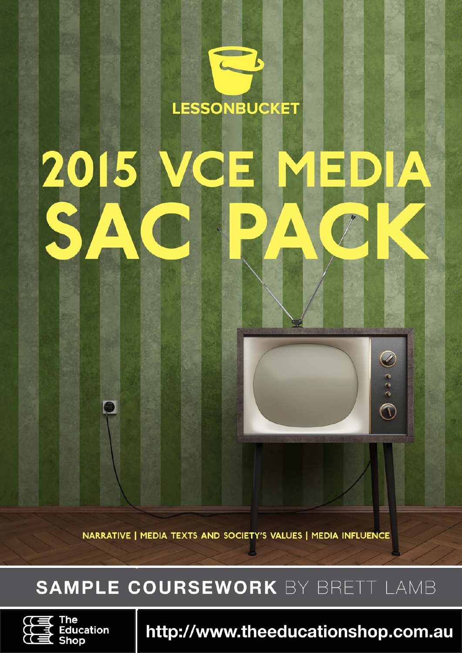# LESSONBUCKET 2015 П C  $\odot$  eee

NARRATIVE | MEDIA TEXTS AND SOCIETY'S VALUES | MEDIA INFLUENCE

## SAMPLE COURSEWORK BY BRETT LAMB



http://www.theeducationshop.com.au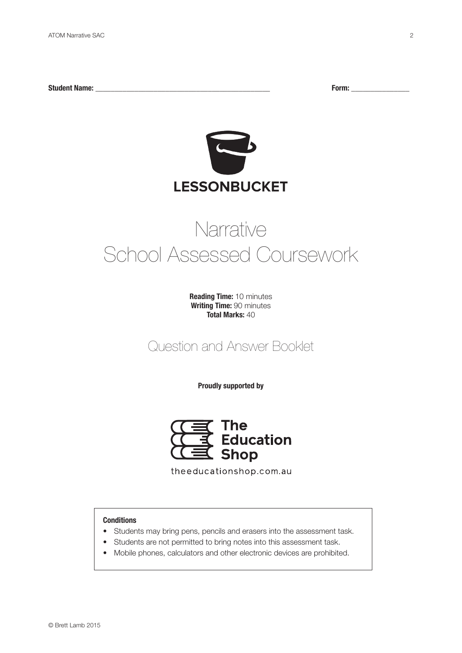**Student Name: \_\_\_\_\_\_\_\_\_\_\_\_\_\_\_\_\_\_\_\_\_\_\_\_\_\_\_\_\_\_\_\_\_\_\_\_\_\_\_\_\_\_\_\_\_ Form: \_\_\_\_\_\_\_\_\_\_\_\_\_\_\_**



## Narrative School Assessed Coursework

**Reading Time:** 10 minutes **Writing Time:** 90 minutes **Total Marks:** 40

Question and Answer Booklet

**Proudly supported by**



theeducationshop.com.au

## **Conditions**

- Students may bring pens, pencils and erasers into the assessment task.
- Students are not permitted to bring notes into this assessment task.
- Mobile phones, calculators and other electronic devices are prohibited.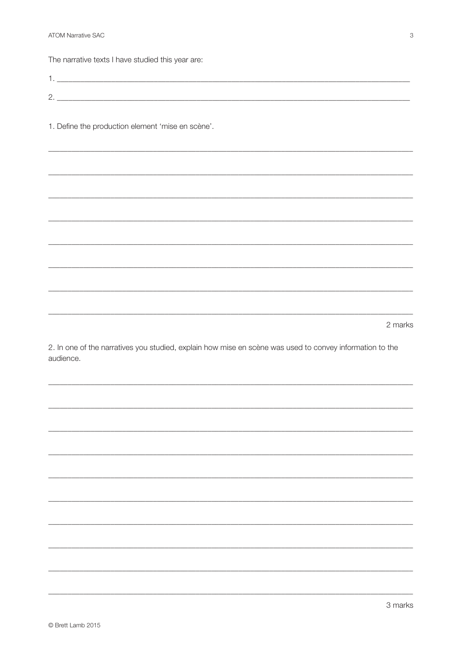**ATOM Narrative SAC** 

The narrative texts I have studied this year are:

| ⌒<br><u>.</u> |  |
|---------------|--|
|               |  |

1. Define the production element 'mise en scène'.

2 marks

2. In one of the narratives you studied, explain how mise en scène was used to convey information to the audience.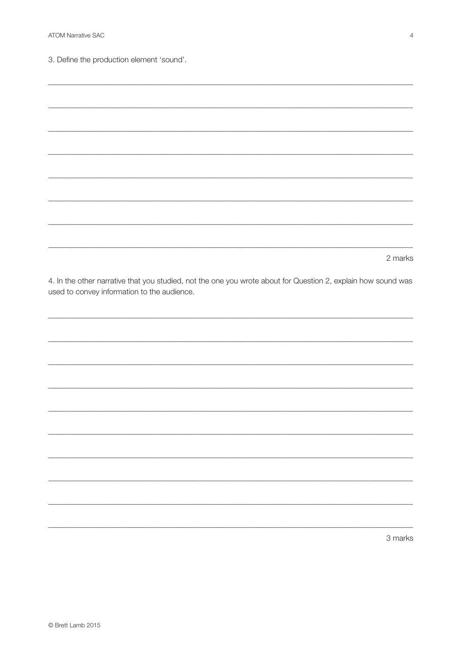3. Define the production element 'sound'.

2 marks 4. In the other narrative that you studied, not the one you wrote about for Question 2, explain how sound was used to convey information to the audience.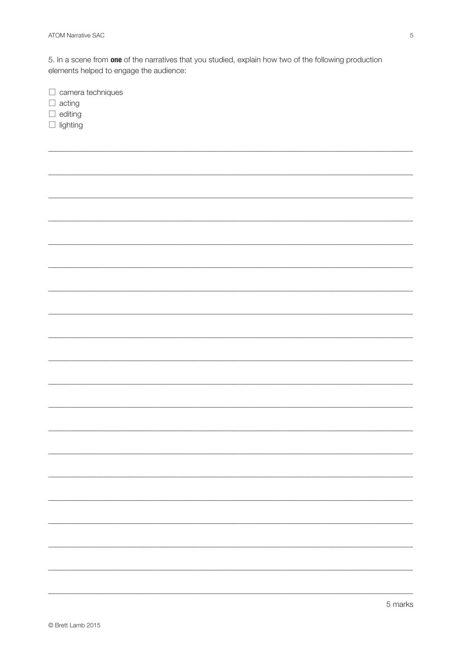5. In a scene from one of the narratives that you studied, explain how two of the following production elements helped to engage the audience:

 $\Box$  camera techniques

 $\Box$  acting

 $\Box$  editing

 $\Box$  lighting

| - |
|---|
|   |
|   |
|   |
|   |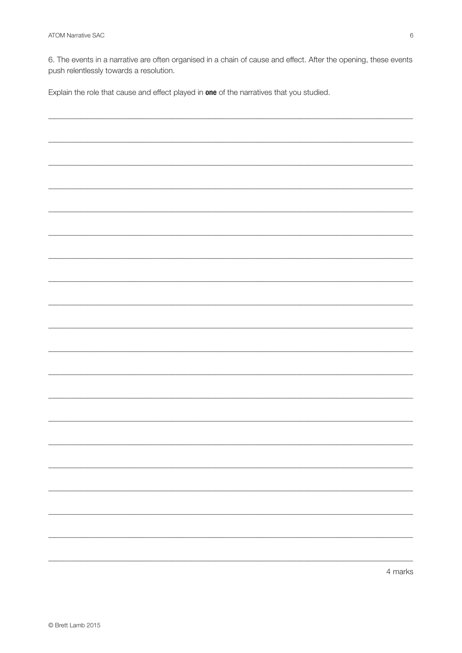6. The events in a narrative are often organised in a chain of cause and effect. After the opening, these events push relentlessly towards a resolution.

Explain the role that cause and effect played in one of the narratives that you studied.

| 4 marks |
|---------|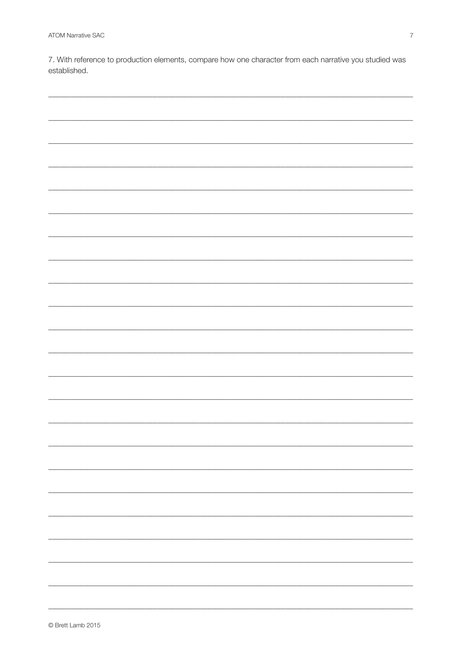7. With reference to production elements, compare how one character from each narrative you studied was established.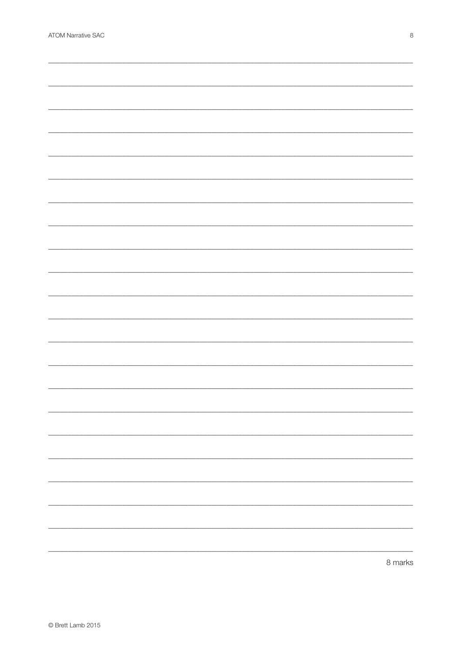| -                        |
|--------------------------|
|                          |
|                          |
|                          |
|                          |
|                          |
|                          |
|                          |
|                          |
|                          |
|                          |
|                          |
|                          |
|                          |
|                          |
|                          |
|                          |
|                          |
|                          |
| $\overline{\phantom{0}}$ |
|                          |
|                          |
|                          |
|                          |
|                          |
|                          |
|                          |
|                          |
|                          |
|                          |
|                          |
|                          |
|                          |
|                          |
|                          |
|                          |
|                          |
|                          |
|                          |
|                          |
|                          |
|                          |
|                          |
|                          |
|                          |
|                          |
|                          |
|                          |
|                          |
|                          |
|                          |
|                          |
|                          |
|                          |
|                          |
|                          |
|                          |
|                          |
|                          |
|                          |
|                          |
| $O$ morks                |
|                          |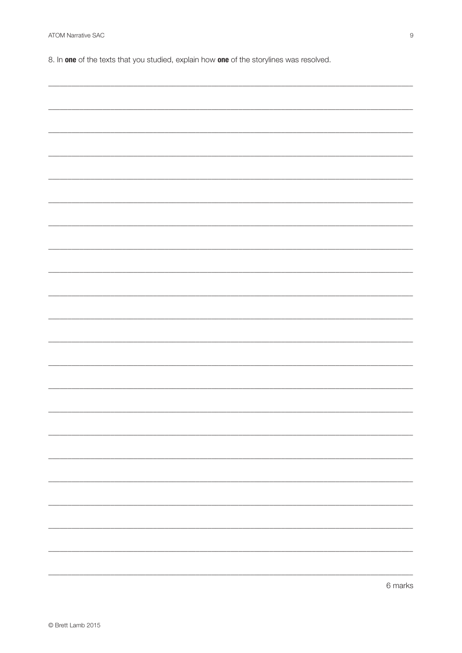8. In one of the texts that you studied, explain how one of the storylines was resolved.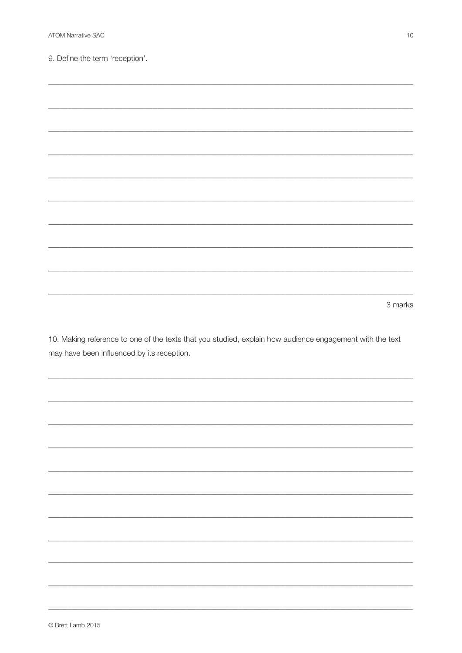9. Define the term 'reception'.

| 3 marks |
|---------|

10. Making reference to one of the texts that you studied, explain how audience engagement with the text may have been influenced by its reception.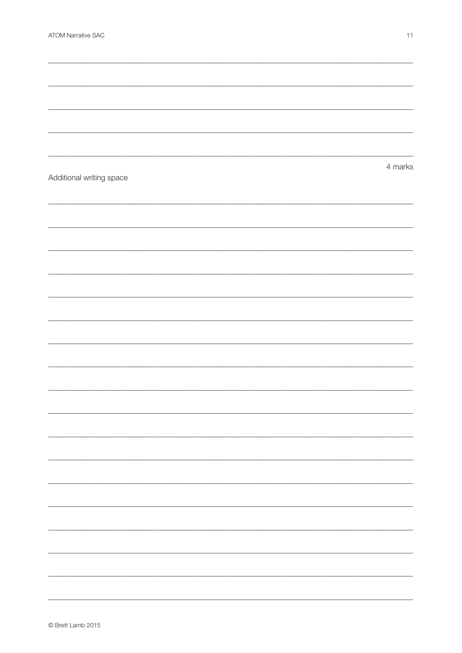| Additional writing space | 4 marks |
|--------------------------|---------|
|                          |         |
|                          |         |
|                          |         |
|                          |         |
|                          |         |
|                          |         |
|                          |         |
|                          |         |
|                          |         |
|                          |         |
|                          |         |
|                          |         |
|                          |         |
|                          |         |
|                          |         |
|                          |         |
|                          |         |
|                          |         |
|                          |         |
|                          |         |
|                          |         |
|                          |         |
|                          |         |
|                          |         |
|                          |         |
|                          |         |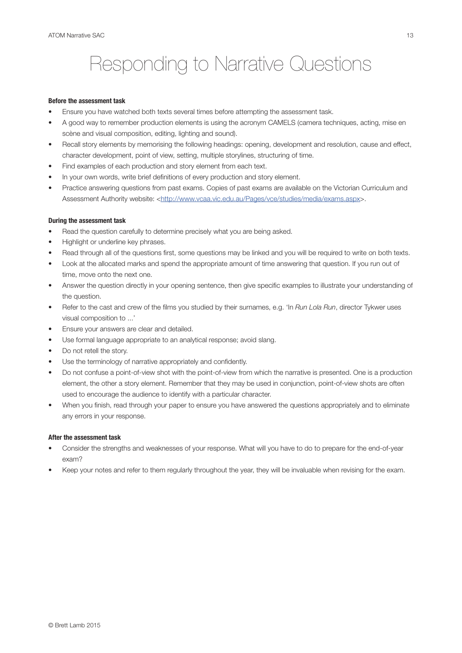## Responding to Narrative Questions

#### **Before the assessment task**

- Ensure you have watched both texts several times before attempting the assessment task.
- A good way to remember production elements is using the acronym CAMELS (camera techniques, acting, mise en scène and visual composition, editing, lighting and sound).
- Recall story elements by memorising the following headings: opening, development and resolution, cause and effect, character development, point of view, setting, multiple storylines, structuring of time.
- Find examples of each production and story element from each text.
- In your own words, write brief definitions of every production and story element.
- Practice answering questions from past exams. Copies of past exams are available on the Victorian Curriculum and Assessment Authority website: [<http://www.vcaa.vic.edu.au/Pages/vce/studies/media/exams.aspx](http://www.vcaa.vic.edu.au/Pages/vce/studies/media/exams.aspx)>.

#### **During the assessment task**

- Read the question carefully to determine precisely what you are being asked.
- Highlight or underline key phrases.
- Read through all of the questions first, some questions may be linked and you will be required to write on both texts.
- Look at the allocated marks and spend the appropriate amount of time answering that question. If you run out of time, move onto the next one.
- Answer the question directly in your opening sentence, then give specific examples to illustrate your understanding of the question.
- Refer to the cast and crew of the films you studied by their surnames, e.g. 'In *Run Lola Run*, director Tykwer uses visual composition to ...'
- Ensure your answers are clear and detailed.
- Use formal language appropriate to an analytical response; avoid slang.
- Do not retell the story.
- Use the terminology of narrative appropriately and confidently.
- Do not confuse a point-of-view shot with the point-of-view from which the narrative is presented. One is a production element, the other a story element. Remember that they may be used in conjunction, point-of-view shots are often used to encourage the audience to identify with a particular character.
- When you finish, read through your paper to ensure you have answered the questions appropriately and to eliminate any errors in your response.

#### **After the assessment task**

- Consider the strengths and weaknesses of your response. What will you have to do to prepare for the end-of-year exam?
- Keep your notes and refer to them regularly throughout the year, they will be invaluable when revising for the exam.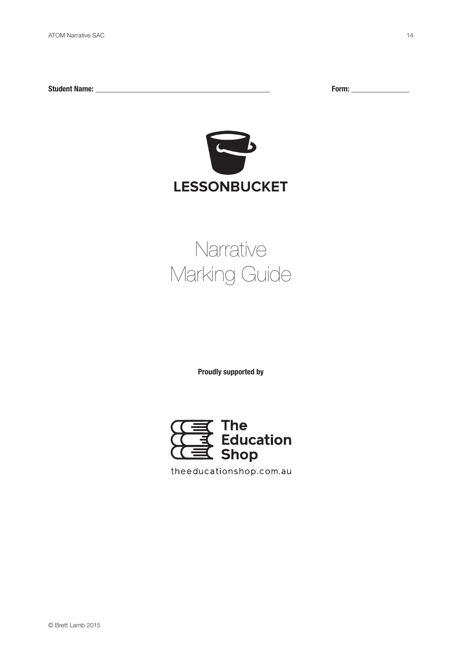**Student Name: \_\_\_\_\_\_\_\_\_\_\_\_\_\_\_\_\_\_\_\_\_\_\_\_\_\_\_\_\_\_\_\_\_\_\_\_\_\_\_\_\_\_\_\_\_ Form: \_\_\_\_\_\_\_\_\_\_\_\_\_\_\_**



# **Narrative** Marking Guide

**Proudly supported by**



theeducationshop.com.au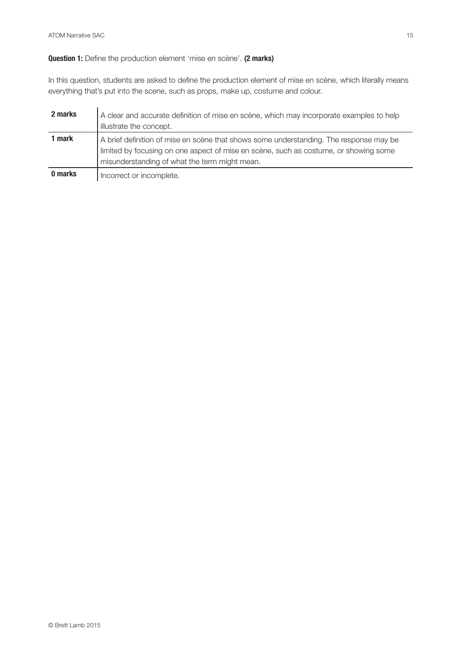## **Question 1:** Define the production element 'mise en scène'. **(2 marks)**

In this question, students are asked to define the production element of mise en scène, which literally means everything that's put into the scene, such as props, make up, costume and colour.

| 2 marks | A clear and accurate definition of mise en scène, which may incorporate examples to help<br>illustrate the concept.                                                                                                             |
|---------|---------------------------------------------------------------------------------------------------------------------------------------------------------------------------------------------------------------------------------|
| 1 mark  | A brief definition of mise en scène that shows some understanding. The response may be<br>limited by focusing on one aspect of mise en scène, such as costume, or showing some<br>misunderstanding of what the term might mean. |
| 0 marks | Incorrect or incomplete.                                                                                                                                                                                                        |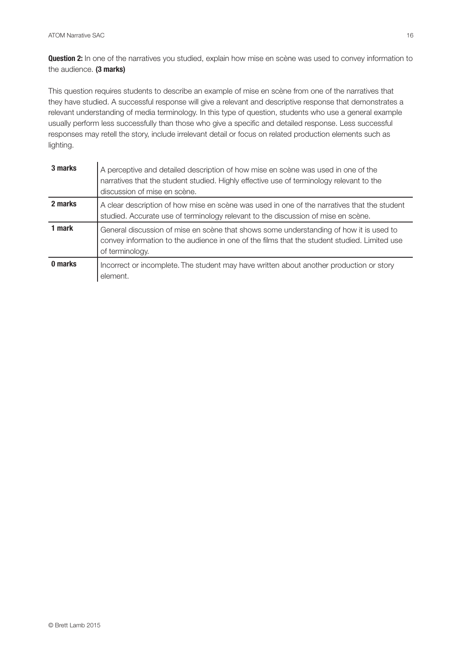**Question 2:** In one of the narratives you studied, explain how mise en scène was used to convey information to the audience. **(3 marks)**

This question requires students to describe an example of mise en scène from one of the narratives that they have studied. A successful response will give a relevant and descriptive response that demonstrates a relevant understanding of media terminology. In this type of question, students who use a general example usually perform less successfully than those who give a specific and detailed response. Less successful responses may retell the story, include irrelevant detail or focus on related production elements such as lighting.

| 3 marks | A perceptive and detailed description of how mise en scène was used in one of the<br>narratives that the student studied. Highly effective use of terminology relevant to the<br>discussion of mise en scène. |
|---------|---------------------------------------------------------------------------------------------------------------------------------------------------------------------------------------------------------------|
| 2 marks | A clear description of how mise en scène was used in one of the narratives that the student<br>studied. Accurate use of terminology relevant to the discussion of mise en scène.                              |
| 1 mark  | General discussion of mise en scène that shows some understanding of how it is used to<br>convey information to the audience in one of the films that the student studied. Limited use<br>of terminology.     |
| 0 marks | Incorrect or incomplete. The student may have written about another production or story<br>element.                                                                                                           |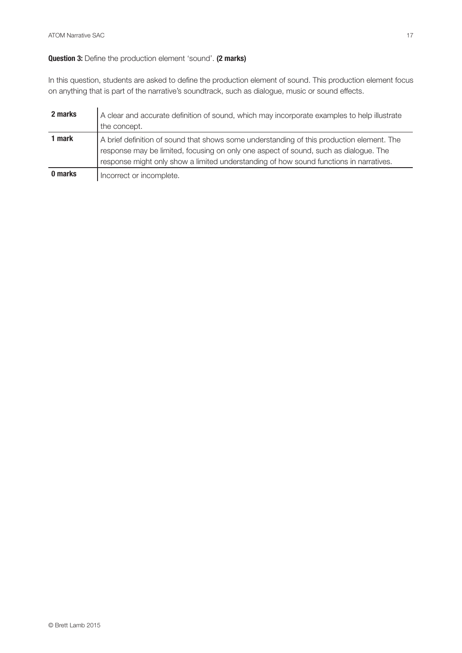## **Question 3:** Define the production element 'sound'. **(2 marks)**

In this question, students are asked to define the production element of sound. This production element focus on anything that is part of the narrative's soundtrack, such as dialogue, music or sound effects.

| 2 marks | A clear and accurate definition of sound, which may incorporate examples to help illustrate<br>the concept.                                                                                                                                                                 |
|---------|-----------------------------------------------------------------------------------------------------------------------------------------------------------------------------------------------------------------------------------------------------------------------------|
| 1 mark  | A brief definition of sound that shows some understanding of this production element. The<br>response may be limited, focusing on only one aspect of sound, such as dialogue. The<br>response might only show a limited understanding of how sound functions in narratives. |
| 0 marks | Incorrect or incomplete.                                                                                                                                                                                                                                                    |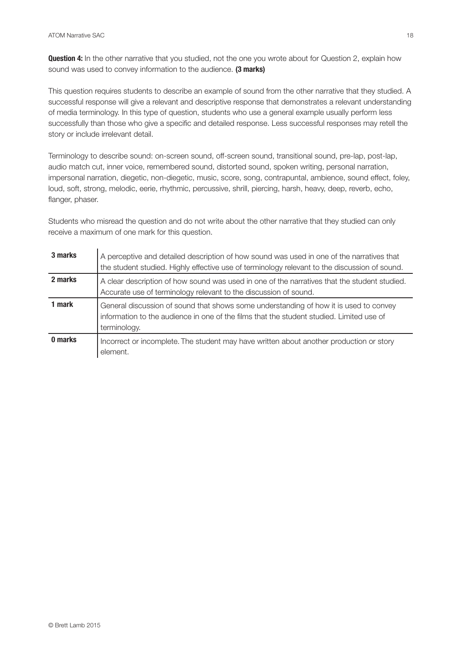**Question 4:** In the other narrative that you studied, not the one you wrote about for Question 2, explain how sound was used to convey information to the audience. **(3 marks)**

This question requires students to describe an example of sound from the other narrative that they studied. A successful response will give a relevant and descriptive response that demonstrates a relevant understanding of media terminology. In this type of question, students who use a general example usually perform less successfully than those who give a specific and detailed response. Less successful responses may retell the story or include irrelevant detail.

Terminology to describe sound: on-screen sound, off-screen sound, transitional sound, pre-lap, post-lap, audio match cut, inner voice, remembered sound, distorted sound, spoken writing, personal narration, impersonal narration, diegetic, non-diegetic, music, score, song, contrapuntal, ambience, sound effect, foley, loud, soft, strong, melodic, eerie, rhythmic, percussive, shrill, piercing, harsh, heavy, deep, reverb, echo, flanger, phaser.

Students who misread the question and do not write about the other narrative that they studied can only receive a maximum of one mark for this question.

| 3 marks | A perceptive and detailed description of how sound was used in one of the narratives that<br>the student studied. Highly effective use of terminology relevant to the discussion of sound.        |
|---------|---------------------------------------------------------------------------------------------------------------------------------------------------------------------------------------------------|
| 2 marks | A clear description of how sound was used in one of the narratives that the student studied.<br>Accurate use of terminology relevant to the discussion of sound.                                  |
| 1 mark  | General discussion of sound that shows some understanding of how it is used to convey<br>information to the audience in one of the films that the student studied. Limited use of<br>terminology. |
| 0 marks | Incorrect or incomplete. The student may have written about another production or story<br>element.                                                                                               |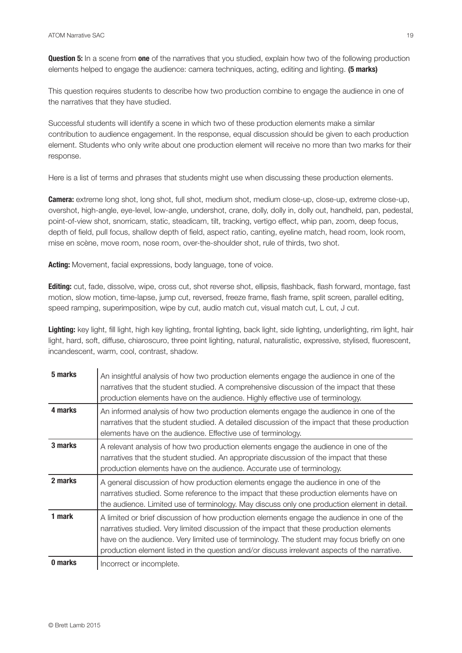**Question 5:** In a scene from **one** of the narratives that you studied, explain how two of the following production elements helped to engage the audience: camera techniques, acting, editing and lighting. **(5 marks)**

This question requires students to describe how two production combine to engage the audience in one of the narratives that they have studied.

Successful students will identify a scene in which two of these production elements make a similar contribution to audience engagement. In the response, equal discussion should be given to each production element. Students who only write about one production element will receive no more than two marks for their response.

Here is a list of terms and phrases that students might use when discussing these production elements.

**Camera:** extreme long shot, long shot, full shot, medium shot, medium close-up, close-up, extreme close-up, overshot, high-angle, eye-level, low-angle, undershot, crane, dolly, dolly in, dolly out, handheld, pan, pedestal, point-of-view shot, snorricam, static, steadicam, tilt, tracking, vertigo effect, whip pan, zoom, deep focus, depth of field, pull focus, shallow depth of field, aspect ratio, canting, eyeline match, head room, look room, mise en scène, move room, nose room, over-the-shoulder shot, rule of thirds, two shot.

**Acting:** Movement, facial expressions, body language, tone of voice.

**Editing:** cut, fade, dissolve, wipe, cross cut, shot reverse shot, ellipsis, flashback, flash forward, montage, fast motion, slow motion, time-lapse, jump cut, reversed, freeze frame, flash frame, split screen, parallel editing, speed ramping, superimposition, wipe by cut, audio match cut, visual match cut, L cut, J cut.

Lighting: key light, fill light, high key lighting, frontal lighting, back light, side lighting, underlighting, rim light, hair light, hard, soft, diffuse, chiaroscuro, three point lighting, natural, naturalistic, expressive, stylised, fluorescent, incandescent, warm, cool, contrast, shadow.

| 5 marks | An insightful analysis of how two production elements engage the audience in one of the<br>narratives that the student studied. A comprehensive discussion of the impact that these<br>production elements have on the audience. Highly effective use of terminology.                                                                                                                  |
|---------|----------------------------------------------------------------------------------------------------------------------------------------------------------------------------------------------------------------------------------------------------------------------------------------------------------------------------------------------------------------------------------------|
| 4 marks | An informed analysis of how two production elements engage the audience in one of the<br>narratives that the student studied. A detailed discussion of the impact that these production<br>elements have on the audience. Effective use of terminology.                                                                                                                                |
| 3 marks | A relevant analysis of how two production elements engage the audience in one of the<br>narratives that the student studied. An appropriate discussion of the impact that these<br>production elements have on the audience. Accurate use of terminology.                                                                                                                              |
| 2 marks | A general discussion of how production elements engage the audience in one of the<br>narratives studied. Some reference to the impact that these production elements have on<br>the audience. Limited use of terminology. May discuss only one production element in detail.                                                                                                           |
| 1 mark  | A limited or brief discussion of how production elements engage the audience in one of the<br>narratives studied. Very limited discussion of the impact that these production elements<br>have on the audience. Very limited use of terminology. The student may focus briefly on one<br>production element listed in the question and/or discuss irrelevant aspects of the narrative. |
| 0 marks | Incorrect or incomplete.                                                                                                                                                                                                                                                                                                                                                               |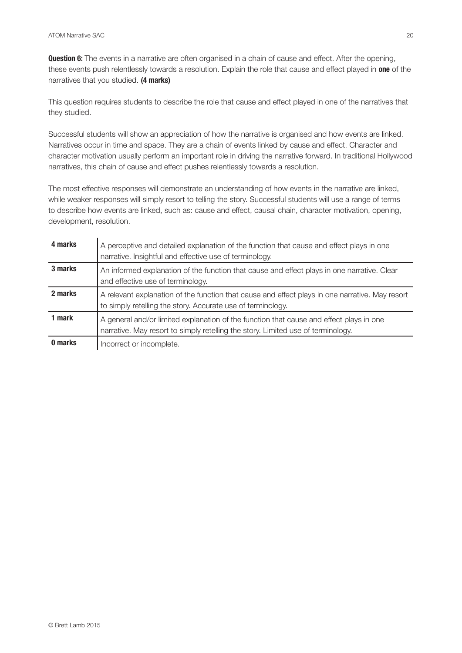**Question 6:** The events in a narrative are often organised in a chain of cause and effect. After the opening, these events push relentlessly towards a resolution. Explain the role that cause and effect played in **one** of the narratives that you studied. **(4 marks)**

This question requires students to describe the role that cause and effect played in one of the narratives that they studied.

Successful students will show an appreciation of how the narrative is organised and how events are linked. Narratives occur in time and space. They are a chain of events linked by cause and effect. Character and character motivation usually perform an important role in driving the narrative forward. In traditional Hollywood narratives, this chain of cause and effect pushes relentlessly towards a resolution.

The most effective responses will demonstrate an understanding of how events in the narrative are linked, while weaker responses will simply resort to telling the story. Successful students will use a range of terms to describe how events are linked, such as: cause and effect, causal chain, character motivation, opening, development, resolution.

| 4 marks | A perceptive and detailed explanation of the function that cause and effect plays in one<br>narrative. Insightful and effective use of terminology.                         |
|---------|-----------------------------------------------------------------------------------------------------------------------------------------------------------------------------|
| 3 marks | An informed explanation of the function that cause and effect plays in one narrative. Clear<br>and effective use of terminology.                                            |
| 2 marks | A relevant explanation of the function that cause and effect plays in one narrative. May resort<br>to simply retelling the story. Accurate use of terminology.              |
| 1 mark  | A general and/or limited explanation of the function that cause and effect plays in one<br>narrative. May resort to simply retelling the story. Limited use of terminology. |
| 0 marks | Incorrect or incomplete.                                                                                                                                                    |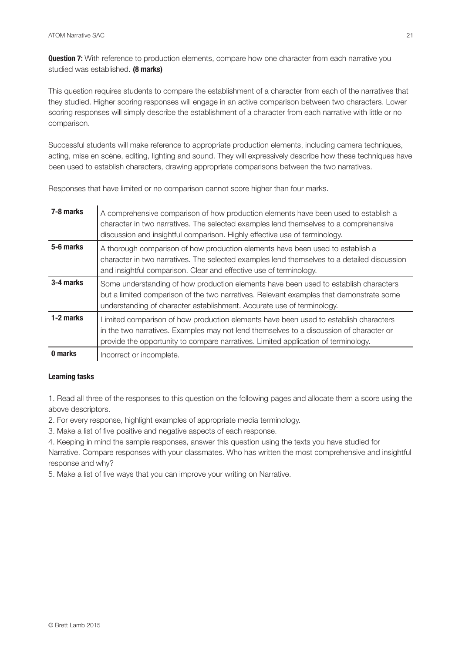**Question 7:** With reference to production elements, compare how one character from each narrative you studied was established. **(8 marks)**

This question requires students to compare the establishment of a character from each of the narratives that they studied. Higher scoring responses will engage in an active comparison between two characters. Lower scoring responses will simply describe the establishment of a character from each narrative with little or no comparison.

Successful students will make reference to appropriate production elements, including camera techniques, acting, mise en scène, editing, lighting and sound. They will expressively describe how these techniques have been used to establish characters, drawing appropriate comparisons between the two narratives.

| 7-8 marks | A comprehensive comparison of how production elements have been used to establish a<br>character in two narratives. The selected examples lend themselves to a comprehensive<br>discussion and insightful comparison. Highly effective use of terminology.            |
|-----------|-----------------------------------------------------------------------------------------------------------------------------------------------------------------------------------------------------------------------------------------------------------------------|
| 5-6 marks | A thorough comparison of how production elements have been used to establish a<br>character in two narratives. The selected examples lend themselves to a detailed discussion<br>and insightful comparison. Clear and effective use of terminology.                   |
| 3-4 marks | Some understanding of how production elements have been used to establish characters<br>but a limited comparison of the two narratives. Relevant examples that demonstrate some<br>understanding of character establishment. Accurate use of terminology.             |
| 1-2 marks | Limited comparison of how production elements have been used to establish characters<br>in the two narratives. Examples may not lend themselves to a discussion of character or<br>provide the opportunity to compare narratives. Limited application of terminology. |
| 0.222     |                                                                                                                                                                                                                                                                       |

Responses that have limited or no comparison cannot score higher than four marks.

**0 marks** | Incorrect or incomplete.

## **Learning tasks**

1. Read all three of the responses to this question on the following pages and allocate them a score using the above descriptors.

2. For every response, highlight examples of appropriate media terminology.

3. Make a list of five positive and negative aspects of each response.

4. Keeping in mind the sample responses, answer this question using the texts you have studied for Narrative. Compare responses with your classmates. Who has written the most comprehensive and insightful response and why?

5. Make a list of five ways that you can improve your writing on Narrative.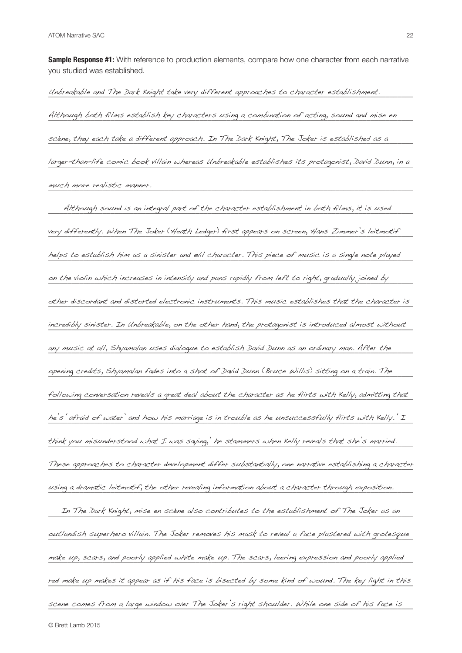**Sample Response #1:** With reference to production elements, compare how one character from each narrative you studied was established.

Unbreakable and The Dark Knight take very different approaches to character establishment. Although both films establish key characters using a combination of acting, sound and mise en scène, they each take a different approach. In The Dark Knight, The Joker is established as a larger-than-life comic book villain whereas Unbreakable establishes its protagonist, David Dunn, in a \_\_\_\_\_\_\_\_\_\_\_\_\_\_\_\_\_\_\_\_\_\_\_\_\_\_\_\_\_\_\_\_\_\_\_\_\_\_\_\_\_\_\_\_\_\_\_\_\_\_\_\_\_\_\_\_\_\_\_\_\_\_\_\_\_\_\_\_\_\_\_\_\_\_\_\_\_\_\_\_\_\_\_\_\_\_\_\_\_\_\_\_\_\_ much more realistic manner.

\_\_\_\_\_\_\_\_\_\_\_\_\_\_\_\_\_\_\_\_\_\_\_\_\_\_\_\_\_\_\_\_\_\_\_\_\_\_\_\_\_\_\_\_\_\_\_\_\_\_\_\_\_\_\_\_\_\_\_\_\_\_\_\_\_\_\_\_\_\_\_\_\_\_\_\_\_\_\_\_\_\_\_\_\_\_\_\_\_\_\_\_\_\_ Although sound is an integral part of the character establishment in both films, it is used very differently. When The Joker (Heath Ledger) first appears on screen, Hans Zimmer's leitmotif helps to establish him as a sinister and evil character. This piece of music is a single note played on the violin which increases in intensity and pans rapidly from left to right, gradually joined by well as a t other discordant and distorted electronic instruments. This music establishes that the character is incredibly sinister. In Unbreakable, on the other hand, the protagonist is introduced almost without  $\blacksquare$ any music at all, Shyamalan uses dialogue to establish David Dunn as an ordinary man. After the warrow of the t opening credits, Shyamalan fades into a shot of David Dunn (Bruce Willis) sitting on a train. The following conversation reveals a great deal about the character as he flirts with Kelly, admitting that he's' afraid of water' and how his marriage is in trouble as he unsuccessfully flirts with Kelly.' I think you misunderstood what I was saying, he stammers when Kelly reveals that she's married.  $\blacksquare$ These approaches to character development differ substantially, one narrative establishing a character  $\overline{\phantom{\phi}}$ using a dramatic leitmotif, the other revealing information about a character through exposition. In The Dark Knight, mise en scène also contributes to the establishment of The Joker as an  $\blacksquare$ outlandish superhero villain. The Joker removes his mask to reveal a face plastered with grotesque make up, scars, and poorly applied white make up. The scars, leering expression and poorly applied  $\blacksquare$ red make up makes it appear as if his face is bisected by some kind of wound. The key light in this scene comes from a large window over The Joker's right shoulder. While one side of his face is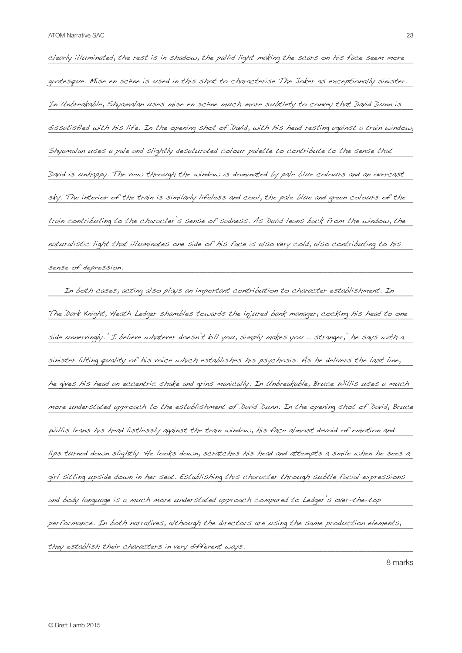$\it clearly$  illuminated, the rest is in shadow, the pallid light making the scars on his face seem more  $\,$ grotesque. Mise en scène is used in this shot to characterise The Joker as exceptionally sinister. In Unbreakable, Shyamalan uses mise en scène much more subtlety to convey that David Dunn is convert de la par dissatisfied with his life. In the opening shot of David, with his head resting against a train window, Shyamalan uses a pale and slightly desaturated colour palette to contribute to the sense that  $\blacksquare$ David is unhappy. The view through the window is dominated by pale blue colours and an overcast sky. The interior of the train is similarly lifeless and cool, the pale blue and green colours of the  $\blacksquare$ train contributing to the character's sense of sadness. As David leans back from the window, the naturalistic light that illuminates one side of his face is also very cold, also contributing to his \_\_\_\_\_\_\_\_\_\_\_\_\_\_\_\_\_\_\_\_\_\_\_\_\_\_\_\_\_\_\_\_\_\_\_\_\_\_\_\_\_\_\_\_\_\_\_\_\_\_\_\_\_\_\_\_\_\_\_\_\_\_\_\_\_\_\_\_\_\_\_\_\_\_\_\_\_\_\_\_\_\_\_\_\_\_\_\_\_\_\_\_\_\_ sense of depression.

\_\_\_\_\_\_\_\_\_\_\_\_\_\_\_\_\_\_\_\_\_\_\_\_\_\_\_\_\_\_\_\_\_\_\_\_\_\_\_\_\_\_\_\_\_\_\_\_\_\_\_\_\_\_\_\_\_\_\_\_\_\_\_\_\_\_\_\_\_\_\_\_\_\_\_\_\_\_\_\_\_\_\_\_\_\_\_\_\_\_\_\_\_\_ In both cases, acting also plays an important contribution to character establishment. In The Dark Knight, Heath Ledger shambles towards the injured bank manager,  $c$ ocking his head to one  $\overline{\phantom{a}}$ side unnervingly.' I believe whatever doesn't kill you, simply makes you … stranger,' he says with a sinister lilting quality of his voice which establishes his psychosis. As he delivers the last line,  $\blacksquare$ he gives his head an eccentric shake and grins manically. In Unbreakable, Bruce Willis uses a much more understated approach to the establishment of David Dunn. In the opening shot of David, Bruce  $\omega$ illis leans his head listlessly against the train window, his face almost devoid of emotion and lips turned down slightly. He looks down, scratches his head and attempts a smile when he sees a  $q$ irl sitting upside down in her seat. Establishing this character through subtle facial expressions  $\blacksquare$ and body language is a much more understated approach compared to Ledger's over-the-top **comparations** performance. In both narratives, although the directors are using the same production elements,  $\blacksquare$ \_\_\_\_\_\_\_\_\_\_\_\_\_\_\_\_\_\_\_\_\_\_\_\_\_\_\_\_\_\_\_\_\_\_\_\_\_\_\_\_\_\_\_\_\_\_\_\_\_\_\_\_\_\_\_\_\_\_\_\_\_\_\_\_\_\_\_\_\_\_\_\_\_\_\_\_\_\_\_\_\_\_\_\_\_\_\_\_\_\_\_\_\_\_ they establish their characters in very different ways.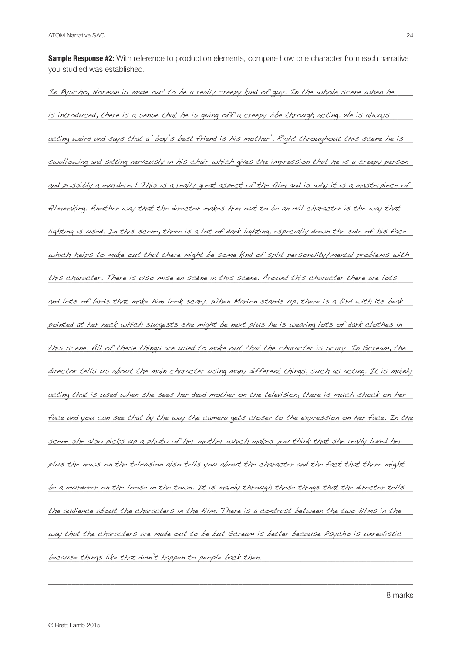**Sample Response #2:** With reference to production elements, compare how one character from each narrative you studied was established.

In Pyscho, Norman is made out to be a really creepy kind of guy. In the whole scene when he is introduced, there is a sense that he is giving off a creepy vibe through acting. He is always acting weird and says that a 'boy's best friend is his mother'. Right throughout this scene he is swallowing and sitting nervously in his chair which gives the impression that he is a creepy person and possibly a murderer! This is a really great aspect of the film and is why it is a masterpiece of filmmaking. Another way that the director makes him out to be an evil character is the way that  $\;$ lighting is used. In this scene, there is a lot of dark lighting, especially down the side of his face  $\,$ which helps to make out that there might be some kind of split personality/mental problems with this character. There is also mise en scène in this scene. Around this character there are lots and lots of birds that make him look scary. When Marion stands up, there is a bird with its beak  $\;$ pointed at her neck which suggests she might be next plus he is wearing lots of dark clothes in  $\blacksquare$ this scene. All of these things are used to make out that the character is scary. In Scream, the  $\,$ director tells us about the main character using many different things, such as acting. It is mainly acting that is used when she sees her dead mother on the television, there is much shock on her  $\blacksquare$ face and you can see that by the way the camera gets closer to the expression on her face. In the scene she also picks up a photo of her mother which makes you think that she really loved her plus the news on the television also tells you about the character and the fact that there might  $\;$ be a murderer on the loose in the town. It is mainly through these things that the director tells  $\hphantom{a}$ the audience about the characters in the film. There is a contrast between the two films in the  $\blacksquare$ way that the characters are made out to be but Scream is better because Psycho is unrealistic \_\_\_\_\_\_\_\_\_\_\_\_\_\_\_\_\_\_\_\_\_\_\_\_\_\_\_\_\_\_\_\_\_\_\_\_\_\_\_\_\_\_\_\_\_\_\_\_\_\_\_\_\_\_\_\_\_\_\_\_\_\_\_\_\_\_\_\_\_\_\_\_\_\_\_\_\_\_\_\_\_\_\_\_\_\_\_\_\_\_\_\_\_\_ because things like that didn't happen to people back then.

\_\_\_\_\_\_\_\_\_\_\_\_\_\_\_\_\_\_\_\_\_\_\_\_\_\_\_\_\_\_\_\_\_\_\_\_\_\_\_\_\_\_\_\_\_\_\_\_\_\_\_\_\_\_\_\_\_\_\_\_\_\_\_\_\_\_\_\_\_\_\_\_\_\_\_\_\_\_\_\_\_\_\_\_\_\_\_\_\_\_\_\_\_\_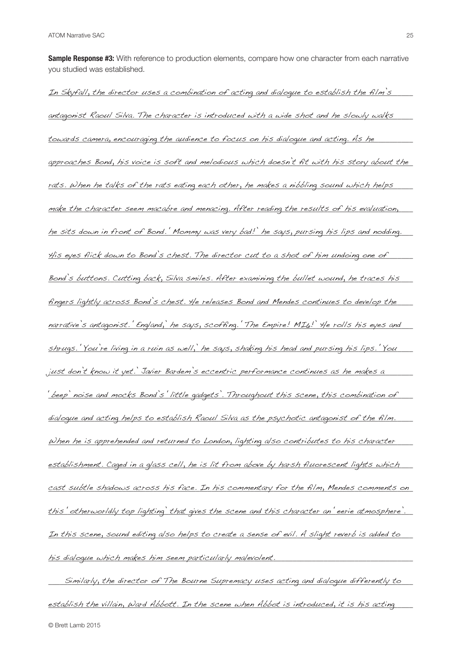**Sample Response #3:** With reference to production elements, compare how one character from each narrative you studied was established.

In Skyfall, the director uses a combination of acting and dialoque to establish the film's antagonist Raoul Silva. The character is introduced with a wide shot and he slowly walks towards camera, encouraging the audience to focus on his dialogue and acting. As he approaches Bond, his voice is soft and melodious which doesn't fit with his story about the  $\,$ rats. When he talks of the rats eating each other, he makes a nibbling sound which helps make the character seem macabre and menacing. After reading the results of his evaluation,  $\,$ he sits down in front of Bond.' Mommy was very bad!' he says, pursing his lips and nodding. His eyes flick down to Bond's chest. The director cut to a shot of him undoing one of  $\,$ Bond's buttons. Cutting back, Silva smiles. After examining the bullet wound, he traces his fingers lightly across Bond's chest. He releases Bond and Mendes continues to develop the  $\blacksquare$ narrative's antagonist.' England, he says, scoffing.' The Empire! MI6!' He rolls his eyes and  $shr u$ qs. 'You're living in a ruin as well,' he says, shaking his head and pursing his lips. 'You \_\_\_\_\_\_\_\_\_\_\_\_\_\_\_\_\_\_\_\_\_\_\_\_\_\_\_\_\_\_\_\_\_\_\_\_\_\_\_\_\_\_\_\_\_\_\_\_\_\_\_\_\_\_\_\_\_\_\_\_\_\_\_\_\_\_\_\_\_\_\_\_\_\_\_\_\_\_\_\_\_\_\_\_\_\_\_\_\_\_\_\_\_\_ just don't know it yet.' Javier Bardem's eccentric performance continues as he makes a 'beep' noise and mocks Bond's 'little gadgets'. Throughout this scene, this combination of dialoque and acting helps to establish Raoul Silva as the psychotic antagonist of the film.  $\omega$ hen he is apprehended and returned to London, lighting also contributes to his character establishment. Caged in a glass cell, he is lit from above by harsh fluorescent lights which cast subtle shadows across his face. In his commentary for the film, Mendes comments on this otherworldly top lighting' that gives the scene and this character an 'eerie atmosphere'. In this scene, sound editing also helps to create a sense of evil. A slight reverb is added to  $\blacksquare$ \_\_\_\_\_\_\_\_\_\_\_\_\_\_\_\_\_\_\_\_\_\_\_\_\_\_\_\_\_\_\_\_\_\_\_\_\_\_\_\_\_\_\_\_\_\_\_\_\_\_\_\_\_\_\_\_\_\_\_\_\_\_\_\_\_\_\_\_\_\_\_\_\_\_\_\_\_\_\_\_\_\_\_\_\_\_\_\_\_\_\_\_\_\_ his dialogue which makes him seem particularly malevolent.

 $\_$  Similarly, the director of The Bourne Supremacy uses acting and dialogue differently to  $\_$ establish the villain, Ward Abbott. In the scene when Abbot is introduced, it is his acting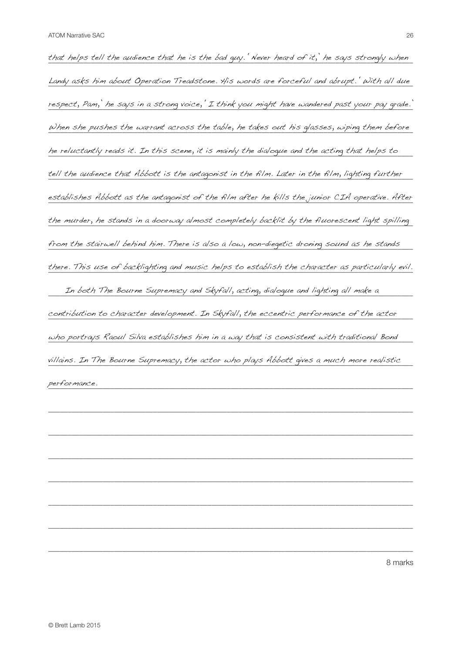that helps tell the audience that he is the bad guy.' Never heard of it,' he says strongly when Landy asks him about Operation Treadstone. His words are forceful and abrupt.' With all due respect, Pam,' he says in a strong voice,' I think you might have wandered past your pay grade.' When she pushes the warrant across the table, he takes out his glasses, wiping them before he reluctantly reads it. In this scene, it is mainly the dialogue and the acting that helps to which the state tell the audience that Abbott is the antagonist in the film. Later in the film, lighting further  $\blacksquare$ establishes Abbott as the antagonist of the film after he kills the junior CIA operative. After the murder, he stands in a doorway almost completely backlit by the fluorescent light spilling from the stairwell behind him. There is also a low, non-diegetic droning sound as he stands there. This use of backlighting and music helps to establish the character as particularly evil. \_\_\_\_\_\_\_\_\_\_\_\_\_\_\_\_\_\_\_\_\_\_\_\_\_\_\_\_\_\_\_\_\_\_\_\_\_\_\_\_\_\_\_\_\_\_\_\_\_\_\_\_\_\_\_\_\_\_\_\_\_\_\_\_\_\_\_\_\_\_\_\_\_\_\_\_\_\_\_\_\_\_\_\_\_\_\_\_\_\_\_\_\_\_ In both The Bourne Supremacy and Skyfall, acting, dialogue and lighting all make a contribution to character development. In Skyfall, the eccentric performance of the actor  $\rule{1em}{0.15mm}$  $\omega$ ho portrays Raoul Silva establishes him in a way that is consistent with traditional Bond  $\blacksquare$ villains. In The Bourne Supremacy, the actor who plays Abbott gives a much more realistic  $performation.$ performance.

\_\_\_\_\_\_\_\_\_\_\_\_\_\_\_\_\_\_\_\_\_\_\_\_\_\_\_\_\_\_\_\_\_\_\_\_\_\_\_\_\_\_\_\_\_\_\_\_\_\_\_\_\_\_\_\_\_\_\_\_\_\_\_\_\_\_\_\_\_\_\_\_\_\_\_\_\_\_\_\_\_\_\_\_\_\_\_\_\_\_\_\_\_\_

\_\_\_\_\_\_\_\_\_\_\_\_\_\_\_\_\_\_\_\_\_\_\_\_\_\_\_\_\_\_\_\_\_\_\_\_\_\_\_\_\_\_\_\_\_\_\_\_\_\_\_\_\_\_\_\_\_\_\_\_\_\_\_\_\_\_\_\_\_\_\_\_\_\_\_\_\_\_\_\_\_\_\_\_\_\_\_\_\_\_\_\_\_\_

\_\_\_\_\_\_\_\_\_\_\_\_\_\_\_\_\_\_\_\_\_\_\_\_\_\_\_\_\_\_\_\_\_\_\_\_\_\_\_\_\_\_\_\_\_\_\_\_\_\_\_\_\_\_\_\_\_\_\_\_\_\_\_\_\_\_\_\_\_\_\_\_\_\_\_\_\_\_\_\_\_\_\_\_\_\_\_\_\_\_\_\_\_\_

\_\_\_\_\_\_\_\_\_\_\_\_\_\_\_\_\_\_\_\_\_\_\_\_\_\_\_\_\_\_\_\_\_\_\_\_\_\_\_\_\_\_\_\_\_\_\_\_\_\_\_\_\_\_\_\_\_\_\_\_\_\_\_\_\_\_\_\_\_\_\_\_\_\_\_\_\_\_\_\_\_\_\_\_\_\_\_\_\_\_\_\_\_\_

\_\_\_\_\_\_\_\_\_\_\_\_\_\_\_\_\_\_\_\_\_\_\_\_\_\_\_\_\_\_\_\_\_\_\_\_\_\_\_\_\_\_\_\_\_\_\_\_\_\_\_\_\_\_\_\_\_\_\_\_\_\_\_\_\_\_\_\_\_\_\_\_\_\_\_\_\_\_\_\_\_\_\_\_\_\_\_\_\_\_\_\_\_\_

\_\_\_\_\_\_\_\_\_\_\_\_\_\_\_\_\_\_\_\_\_\_\_\_\_\_\_\_\_\_\_\_\_\_\_\_\_\_\_\_\_\_\_\_\_\_\_\_\_\_\_\_\_\_\_\_\_\_\_\_\_\_\_\_\_\_\_\_\_\_\_\_\_\_\_\_\_\_\_\_\_\_\_\_\_\_\_\_\_\_\_\_\_\_

\_\_\_\_\_\_\_\_\_\_\_\_\_\_\_\_\_\_\_\_\_\_\_\_\_\_\_\_\_\_\_\_\_\_\_\_\_\_\_\_\_\_\_\_\_\_\_\_\_\_\_\_\_\_\_\_\_\_\_\_\_\_\_\_\_\_\_\_\_\_\_\_\_\_\_\_\_\_\_\_\_\_\_\_\_\_\_\_\_\_\_\_\_\_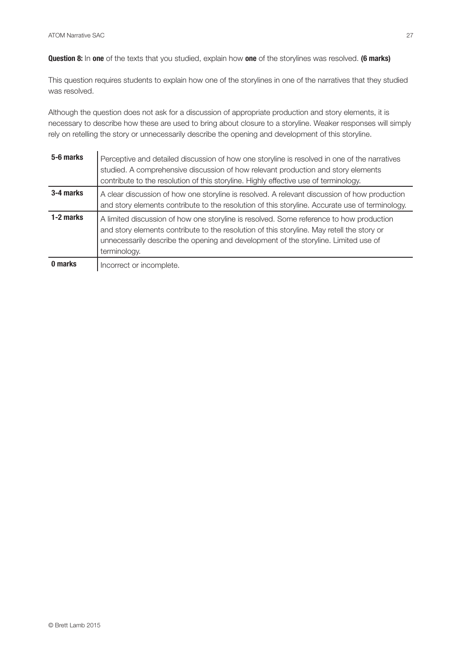**Question 8:** In **one** of the texts that you studied, explain how **one** of the storylines was resolved. **(6 marks)**

This question requires students to explain how one of the storylines in one of the narratives that they studied was resolved.

Although the question does not ask for a discussion of appropriate production and story elements, it is necessary to describe how these are used to bring about closure to a storyline. Weaker responses will simply rely on retelling the story or unnecessarily describe the opening and development of this storyline.

| 5-6 marks | Perceptive and detailed discussion of how one storyline is resolved in one of the narratives<br>studied. A comprehensive discussion of how relevant production and story elements<br>contribute to the resolution of this storyline. Highly effective use of terminology.                    |
|-----------|----------------------------------------------------------------------------------------------------------------------------------------------------------------------------------------------------------------------------------------------------------------------------------------------|
| 3-4 marks | A clear discussion of how one storyline is resolved. A relevant discussion of how production<br>and story elements contribute to the resolution of this storyline. Accurate use of terminology.                                                                                              |
| 1-2 marks | A limited discussion of how one storyline is resolved. Some reference to how production<br>and story elements contribute to the resolution of this storyline. May retell the story or<br>unnecessarily describe the opening and development of the storyline. Limited use of<br>terminology. |
| 0 marks   | Incorrect or incomplete.                                                                                                                                                                                                                                                                     |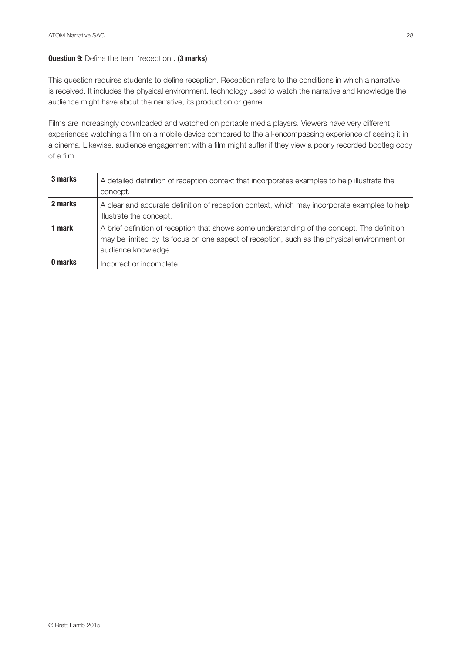## **Question 9:** Define the term 'reception'. **(3 marks)**

This question requires students to define reception. Reception refers to the conditions in which a narrative is received. It includes the physical environment, technology used to watch the narrative and knowledge the audience might have about the narrative, its production or genre.

Films are increasingly downloaded and watched on portable media players. Viewers have very different experiences watching a film on a mobile device compared to the all-encompassing experience of seeing it in a cinema. Likewise, audience engagement with a film might suffer if they view a poorly recorded bootleg copy of a film.

| 3 marks | A detailed definition of reception context that incorporates examples to help illustrate the<br>concept.                                                                                                           |
|---------|--------------------------------------------------------------------------------------------------------------------------------------------------------------------------------------------------------------------|
| 2 marks | A clear and accurate definition of reception context, which may incorporate examples to help<br>illustrate the concept.                                                                                            |
| 1 mark  | A brief definition of reception that shows some understanding of the concept. The definition<br>may be limited by its focus on one aspect of reception, such as the physical environment or<br>audience knowledge. |
| 0 marks | Incorrect or incomplete.                                                                                                                                                                                           |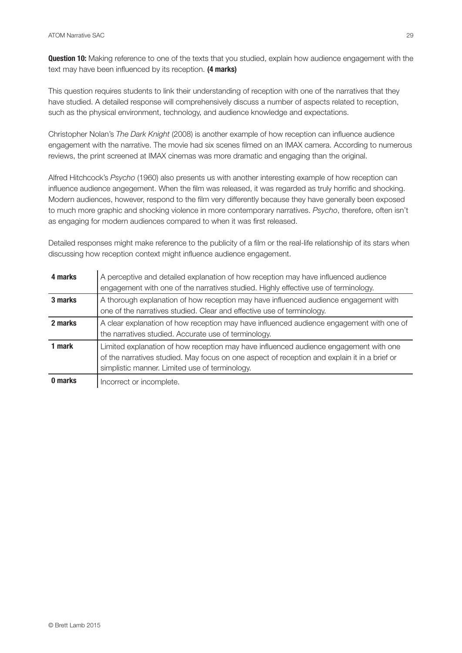**Question 10:** Making reference to one of the texts that you studied, explain how audience engagement with the text may have been influenced by its reception. **(4 marks)**

This question requires students to link their understanding of reception with one of the narratives that they have studied. A detailed response will comprehensively discuss a number of aspects related to reception, such as the physical environment, technology, and audience knowledge and expectations.

Christopher Nolan's *The Dark Knight* (2008) is another example of how reception can influence audience engagement with the narrative. The movie had six scenes filmed on an IMAX camera. According to numerous reviews, the print screened at IMAX cinemas was more dramatic and engaging than the original.

Alfred Hitchcock's *Psycho* (1960) also presents us with another interesting example of how reception can influence audience angegement. When the film was released, it was regarded as truly horrific and shocking. Modern audiences, however, respond to the film very differently because they have generally been exposed to much more graphic and shocking violence in more contemporary narratives. *Psycho*, therefore, often isn't as engaging for modern audiences compared to when it was first released.

Detailed responses might make reference to the publicity of a film or the real-life relationship of its stars when discussing how reception context might influence audience engagement.

| 4 marks | A perceptive and detailed explanation of how reception may have influenced audience<br>engagement with one of the narratives studied. Highly effective use of terminology.                                                              |
|---------|-----------------------------------------------------------------------------------------------------------------------------------------------------------------------------------------------------------------------------------------|
| 3 marks | A thorough explanation of how reception may have influenced audience engagement with<br>one of the narratives studied. Clear and effective use of terminology.                                                                          |
| 2 marks | A clear explanation of how reception may have influenced audience engagement with one of<br>the narratives studied. Accurate use of terminology.                                                                                        |
| 1 mark  | Limited explanation of how reception may have influenced audience engagement with one<br>of the narratives studied. May focus on one aspect of reception and explain it in a brief or<br>simplistic manner. Limited use of terminology. |
| 0 marks | Incorrect or incomplete.                                                                                                                                                                                                                |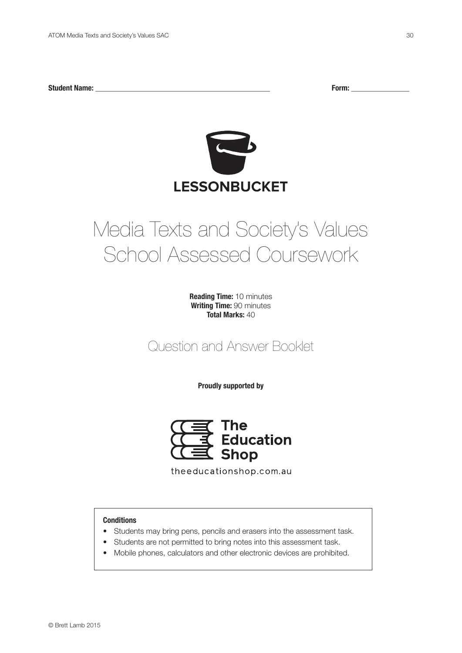**Student Name: \_\_\_\_\_\_\_\_\_\_\_\_\_\_\_\_\_\_\_\_\_\_\_\_\_\_\_\_\_\_\_\_\_\_\_\_\_\_\_\_\_\_\_\_\_ Form: \_\_\_\_\_\_\_\_\_\_\_\_\_\_\_**



## Media Texts and Society's Values School Assessed Coursework

**Reading Time:** 10 minutes **Writing Time:** 90 minutes **Total Marks:** 40

Question and Answer Booklet

**Proudly supported by**



theeducationshop.com.au

### **Conditions**

- Students may bring pens, pencils and erasers into the assessment task.
- Students are not permitted to bring notes into this assessment task.
- Mobile phones, calculators and other electronic devices are prohibited.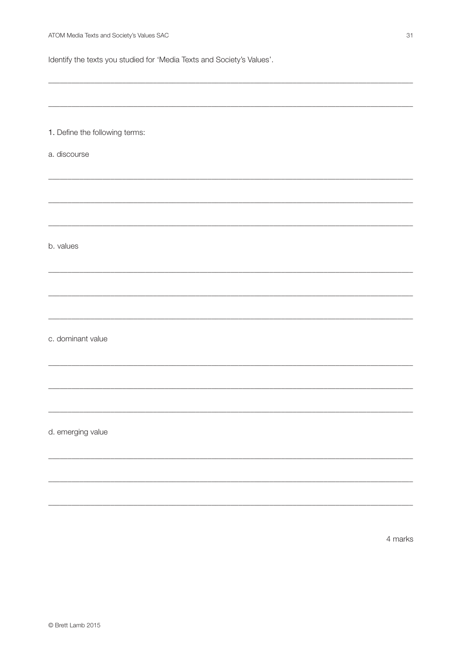1. Define the following terms:

Identify the texts you studied for 'Media Texts and Society's Values'.

a. discourse b. values c. dominant value d. emerging value

4 marks

31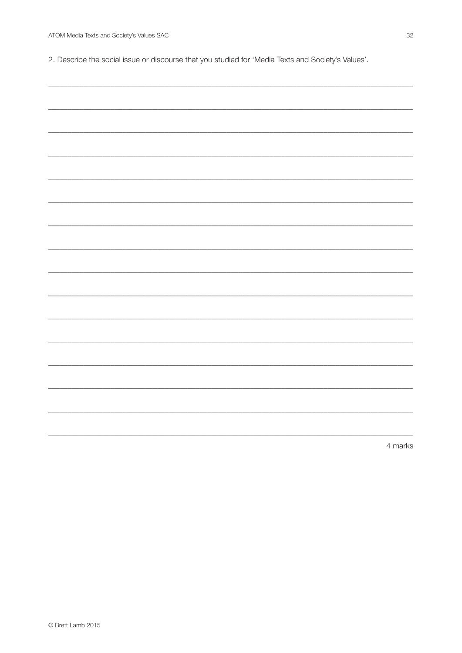2. Describe the social issue or discourse that you studied for 'Media Texts and Society's Values'.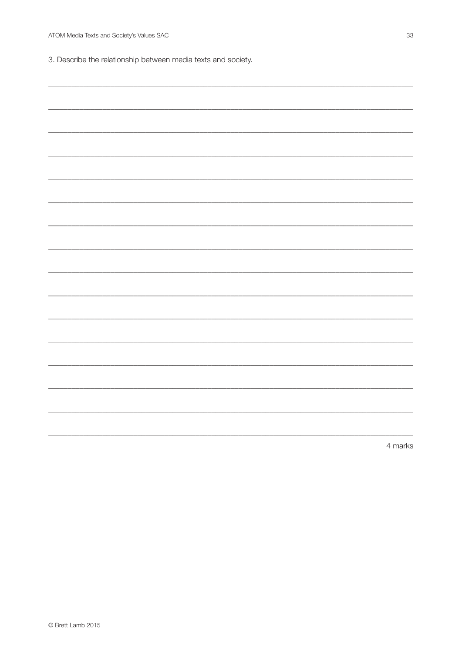3. Describe the relationship between media texts and society.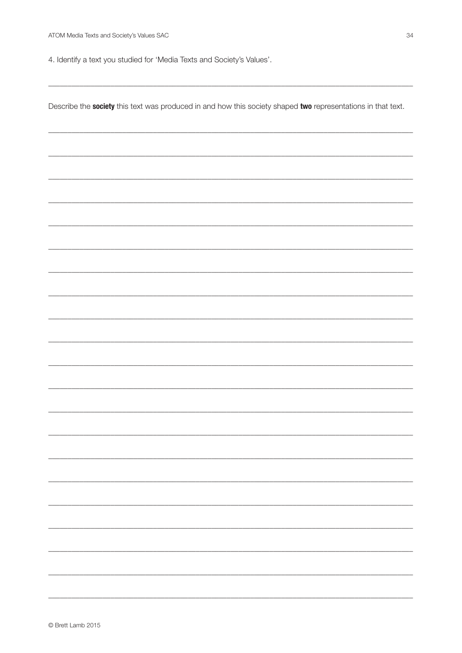4. Identify a text you studied for 'Media Texts and Society's Values'.

Describe the society this text was produced in and how this society shaped two representations in that text.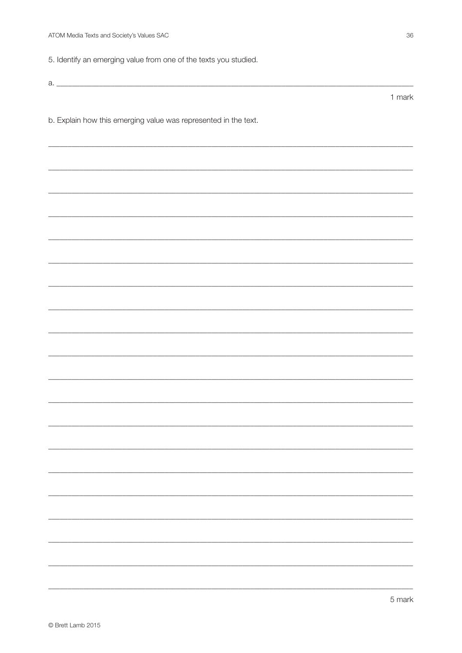5. Identify an emerging value from one of the texts you studied.

b. Explain how this emerging value was represented in the text.

1 mark

5 mark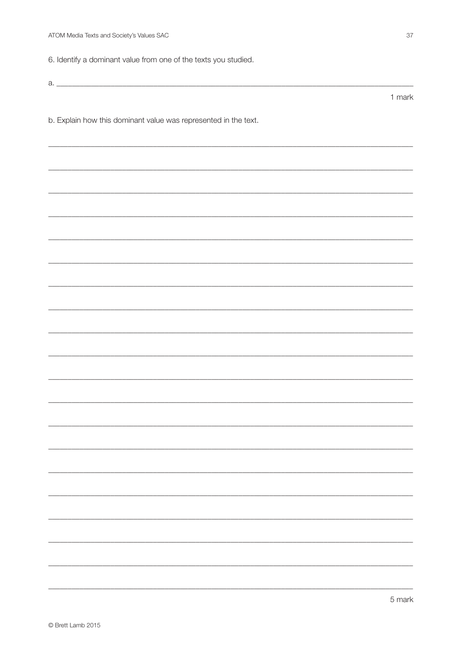6. Identify a dominant value from one of the texts you studied.

 $a.$ 

b. Explain how this dominant value was represented in the text.

1 mark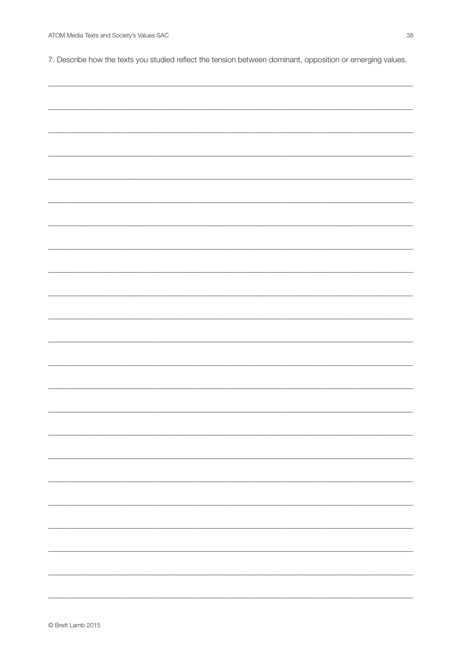7. Describe how the texts you studied reflect the tension between dominant, opposition or emerging values.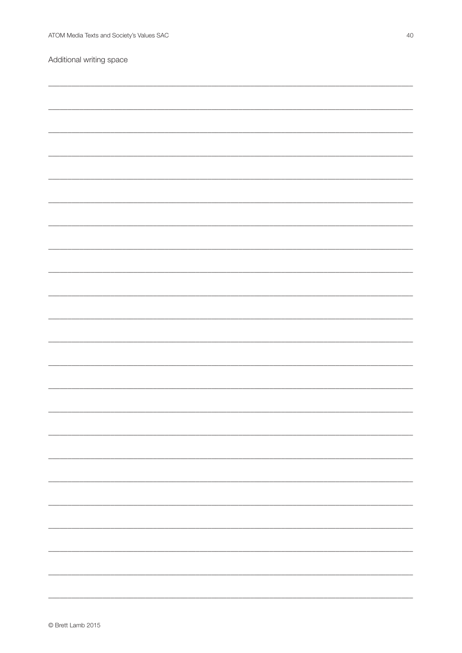Additional writing space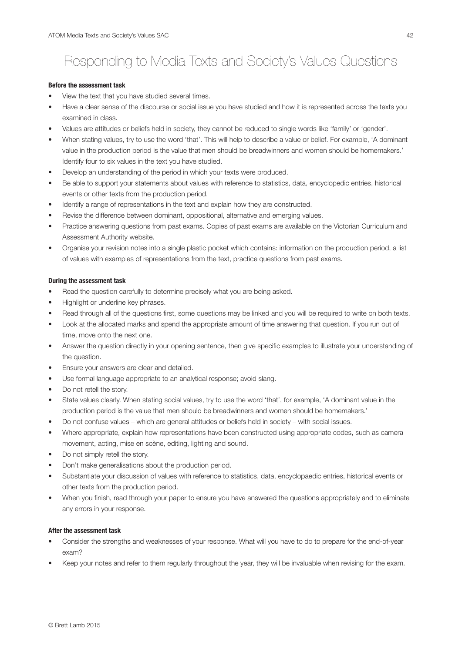## Responding to Media Texts and Society's Values Questions

#### **Before the assessment task**

- View the text that you have studied several times.
- Have a clear sense of the discourse or social issue you have studied and how it is represented across the texts you examined in class.
- Values are attitudes or beliefs held in society, they cannot be reduced to single words like 'family' or 'gender'.
- When stating values, try to use the word 'that'. This will help to describe a value or belief. For example, 'A dominant value in the production period is the value that men should be breadwinners and women should be homemakers.' Identify four to six values in the text you have studied.
- Develop an understanding of the period in which your texts were produced.
- Be able to support your statements about values with reference to statistics, data, encyclopedic entries, historical events or other texts from the production period.
- Identify a range of representations in the text and explain how they are constructed.
- Revise the difference between dominant, oppositional, alternative and emerging values.
- Practice answering questions from past exams. Copies of past exams are available on the Victorian Curriculum and Assessment Authority website.
- Organise your revision notes into a single plastic pocket which contains: information on the production period, a list of values with examples of representations from the text, practice questions from past exams.

### **During the assessment task**

- Read the question carefully to determine precisely what you are being asked.
- Highlight or underline key phrases.
- Read through all of the questions first, some questions may be linked and you will be required to write on both texts.
- Look at the allocated marks and spend the appropriate amount of time answering that question. If you run out of time, move onto the next one.
- Answer the question directly in your opening sentence, then give specific examples to illustrate your understanding of the question.
- Ensure your answers are clear and detailed.
- Use formal language appropriate to an analytical response; avoid slang.
- Do not retell the story.
- State values clearly. When stating social values, try to use the word 'that', for example, 'A dominant value in the production period is the value that men should be breadwinners and women should be homemakers.'
- Do not confuse values which are general attitudes or beliefs held in society with social issues.
- Where appropriate, explain how representations have been constructed using appropriate codes, such as camera movement, acting, mise en scène, editing, lighting and sound.
- Do not simply retell the story.
- Don't make generalisations about the production period.
- Substantiate your discussion of values with reference to statistics, data, encyclopaedic entries, historical events or other texts from the production period.
- When you finish, read through your paper to ensure you have answered the questions appropriately and to eliminate any errors in your response.

#### **After the assessment task**

- Consider the strengths and weaknesses of your response. What will you have to do to prepare for the end-of-year exam?
- Keep your notes and refer to them regularly throughout the year, they will be invaluable when revising for the exam.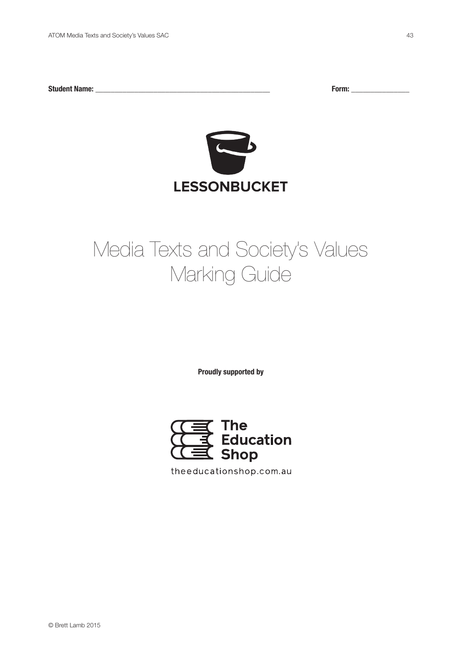**Student Name: \_\_\_\_\_\_\_\_\_\_\_\_\_\_\_\_\_\_\_\_\_\_\_\_\_\_\_\_\_\_\_\_\_\_\_\_\_\_\_\_\_\_\_\_\_ Form: \_\_\_\_\_\_\_\_\_\_\_\_\_\_\_**



## Media Texts and Society's Values Marking Guide

**Proudly supported by**



theeducationshop.com.au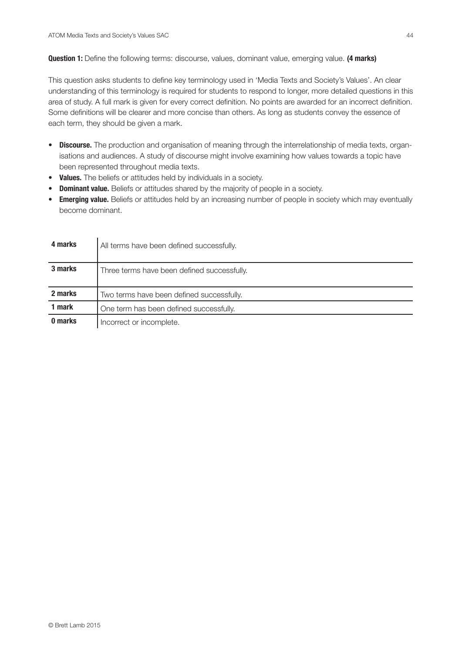$\mathbf{r}$ 

**Question 1:** Define the following terms: discourse, values, dominant value, emerging value. **(4 marks)**

This question asks students to define key terminology used in 'Media Texts and Society's Values'. An clear understanding of this terminology is required for students to respond to longer, more detailed questions in this area of study. A full mark is given for every correct definition. No points are awarded for an incorrect definition. Some definitions will be clearer and more concise than others. As long as students convey the essence of each term, they should be given a mark.

- **• Discourse.** The production and organisation of meaning through the interrelationship of media texts, organisations and audiences. A study of discourse might involve examining how values towards a topic have been represented throughout media texts.
- **• Values.** The beliefs or attitudes held by individuals in a society.
- **• Dominant value.** Beliefs or attitudes shared by the majority of people in a society.
- **• Emerging value.** Beliefs or attitudes held by an increasing number of people in society which may eventually become dominant.

| 4 marks | All terms have been defined successfully.   |
|---------|---------------------------------------------|
| 3 marks | Three terms have been defined successfully. |
| 2 marks | Two terms have been defined successfully.   |
| 1 mark  | One term has been defined successfully.     |
| 0 marks | Incorrect or incomplete.                    |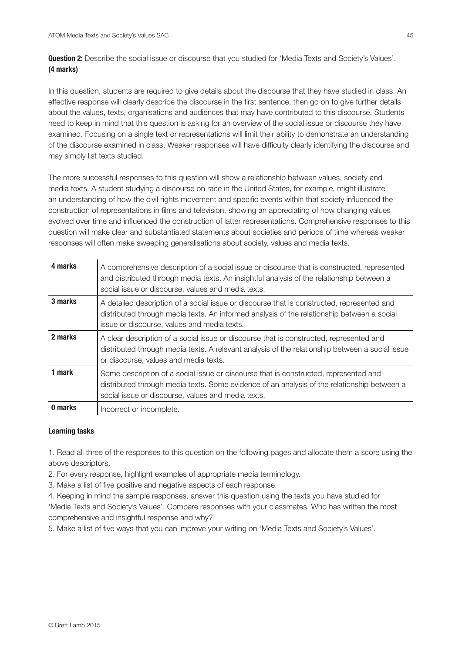**Question 2:** Describe the social issue or discourse that you studied for 'Media Texts and Society's Values'. **(4 marks)**

In this question, students are required to give details about the discourse that they have studied in class. An effective response will clearly describe the discourse in the first sentence, then go on to give further details about the values, texts, organisations and audiences that may have contributed to this discourse. Students need to keep in mind that this question is asking for an overview of the social issue or discourse they have examined. Focusing on a single text or representations will limit their ability to demonstrate an understanding of the discourse examined in class. Weaker responses will have difficulty clearly identifying the discourse and may simply list texts studied.

The more successful responses to this question will show a relationship between values, society and media texts. A student studying a discourse on race in the United States, for example, might illustrate an understanding of how the civil rights movement and specific events within that society influenced the construction of representations in films and television, showing an appreciating of how changing values evolved over time and influenced the construction of latter representations. Comprehensive responses to this question will make clear and substantiated statements about societies and periods of time whereas weaker responses will often make sweeping generalisations about society, values and media texts.

| 4 marks | A comprehensive description of a social issue or discourse that is constructed, represented<br>and distributed through media texts. An insightful analysis of the relationship between a<br>social issue or discourse, values and media texts. |
|---------|------------------------------------------------------------------------------------------------------------------------------------------------------------------------------------------------------------------------------------------------|
| 3 marks | A detailed description of a social issue or discourse that is constructed, represented and<br>distributed through media texts. An informed analysis of the relationship between a social<br>issue or discourse, values and media texts.        |
| 2 marks | A clear description of a social issue or discourse that is constructed, represented and<br>distributed through media texts. A relevant analysis of the relationship between a social issue<br>or discourse, values and media texts.            |
| 1 mark  | Some description of a social issue or discourse that is constructed, represented and<br>distributed through media texts. Some evidence of an analysis of the relationship between a<br>social issue or discourse, values and media texts.      |
| 0 marks | Incorrect or incomplete.                                                                                                                                                                                                                       |

## **Learning tasks**

1. Read all three of the responses to this question on the following pages and allocate them a score using the above descriptors.

2. For every response, highlight examples of appropriate media terminology.

3. Make a list of five positive and negative aspects of each response.

4. Keeping in mind the sample responses, answer this question using the texts you have studied for 'Media Texts and Society's Values'. Compare responses with your classmates. Who has written the most comprehensive and insightful response and why?

5. Make a list of five ways that you can improve your writing on 'Media Texts and Society's Values'.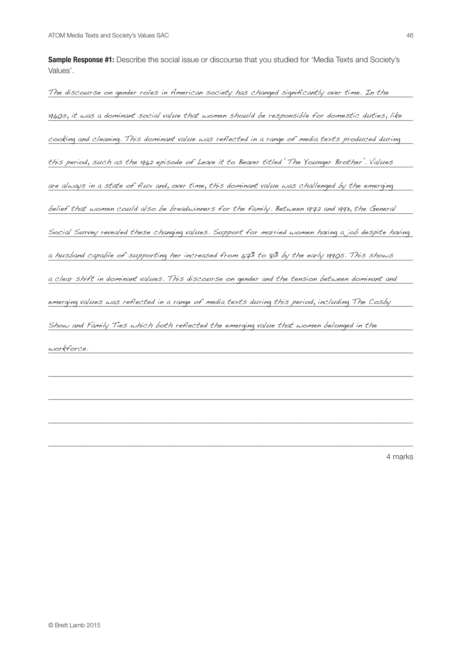**Sample Response #1:** Describe the social issue or discourse that you studied for 'Media Texts and Society's Values'.

The discourse on gender roles in American society has changed significantly over time. In the  $\hskip1cm$ 1960s, it was a dominant social value that women should be responsible for domestic duties, like cooking and cleaning. This dominant value was reflected in a range of media texts produced during this period, such as the 1962 episode of Leave it to Beaver titled 'The Younger Brother'. Values  $\blacksquare$ are always in a state of flux and, over time, this dominant value was challenged by the emerging  $\hskip10mm$ belief that women could also be breadwinners for the family. Between 1972 and 1993, the General  $\equiv$ Social Survey revealed these changing values. Support for married women having a job despite having a husband capable of supporting her increased from 67% to 81% by the early 1990s. This shows  $\blacksquare$  $\alpha$  clear shift in dominant values. This discourse on gender and the tension between dominant and  $\blacksquare$ emerging values was reflected in a range of media texts during this period, including The Cosby \_\_\_\_ Show and Family Ties which both reflected the emerging value that women belonged in the straining the strainin  $\omega$ orkforce. workforce.

\_\_\_\_\_\_\_\_\_\_\_\_\_\_\_\_\_\_\_\_\_\_\_\_\_\_\_\_\_\_\_\_\_\_\_\_\_\_\_\_\_\_\_\_\_\_\_\_\_\_\_\_\_\_\_\_\_\_\_\_\_\_\_\_\_\_\_\_\_\_\_\_\_\_\_\_\_\_\_\_\_\_\_\_\_\_\_\_\_\_\_\_\_\_

\_\_\_\_\_\_\_\_\_\_\_\_\_\_\_\_\_\_\_\_\_\_\_\_\_\_\_\_\_\_\_\_\_\_\_\_\_\_\_\_\_\_\_\_\_\_\_\_\_\_\_\_\_\_\_\_\_\_\_\_\_\_\_\_\_\_\_\_\_\_\_\_\_\_\_\_\_\_\_\_\_\_\_\_\_\_\_\_\_\_\_\_\_\_

\_\_\_\_\_\_\_\_\_\_\_\_\_\_\_\_\_\_\_\_\_\_\_\_\_\_\_\_\_\_\_\_\_\_\_\_\_\_\_\_\_\_\_\_\_\_\_\_\_\_\_\_\_\_\_\_\_\_\_\_\_\_\_\_\_\_\_\_\_\_\_\_\_\_\_\_\_\_\_\_\_\_\_\_\_\_\_\_\_\_\_\_\_\_

\_\_\_\_\_\_\_\_\_\_\_\_\_\_\_\_\_\_\_\_\_\_\_\_\_\_\_\_\_\_\_\_\_\_\_\_\_\_\_\_\_\_\_\_\_\_\_\_\_\_\_\_\_\_\_\_\_\_\_\_\_\_\_\_\_\_\_\_\_\_\_\_\_\_\_\_\_\_\_\_\_\_\_\_\_\_\_\_\_\_\_\_\_\_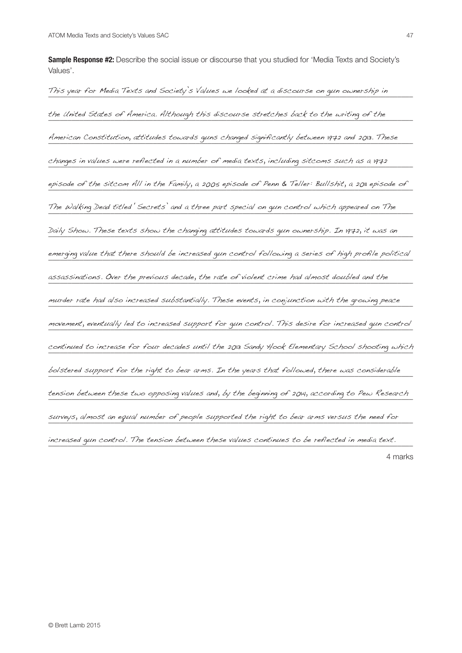**Sample Response #2:** Describe the social issue or discourse that you studied for 'Media Texts and Society's Values'.

\_\_\_\_\_\_\_\_\_\_\_\_\_\_\_\_\_\_\_\_\_\_\_\_\_\_\_\_\_\_\_\_\_\_\_\_\_\_\_\_\_\_\_\_\_\_\_\_\_\_\_\_\_\_\_\_\_\_\_\_\_\_\_\_\_\_\_\_\_\_\_\_\_\_\_\_\_\_\_\_\_\_\_\_\_\_\_\_\_\_\_\_\_\_ This year for Media Texts and Society's Values we looked at a discourse on gun ownership in the United States of America. Although this discourse stretches back to the writing of the writing of the stre \_\_\_\_\_\_\_\_\_\_\_\_\_\_\_\_\_\_\_\_\_\_\_\_\_\_\_\_\_\_\_\_\_\_\_\_\_\_\_\_\_\_\_\_\_\_\_\_\_\_\_\_\_\_\_\_\_\_\_\_\_\_\_\_\_\_\_\_\_\_\_\_\_\_\_\_\_\_\_\_\_\_\_\_\_\_\_\_\_\_\_\_\_\_ American Constitution, attitudes towards guns changed significantly between 1972 and 2013. These \_\_\_\_\_\_\_\_\_\_\_\_\_\_\_\_\_\_\_\_\_\_\_\_\_\_\_\_\_\_\_\_\_\_\_\_\_\_\_\_\_\_\_\_\_\_\_\_\_\_\_\_\_\_\_\_\_\_\_\_\_\_\_\_\_\_\_\_\_\_\_\_\_\_\_\_\_\_\_\_\_\_\_\_\_\_\_\_\_\_\_\_\_\_ changes in values were reflected in a number of media texts, including sitcoms such as a 1972 episode of the sitcom All in the Family, a 2005 episode of Penn & Teller: Bullshit, a 2011 episode of Internat<br>I \_\_\_\_\_\_\_\_\_\_\_\_\_\_\_\_\_\_\_\_\_\_\_\_\_\_\_\_\_\_\_\_\_\_\_\_\_\_\_\_\_\_\_\_\_\_\_\_\_\_\_\_\_\_\_\_\_\_\_\_\_\_\_\_\_\_\_\_\_\_\_\_\_\_\_\_\_\_\_\_\_\_\_\_\_\_\_\_\_\_\_\_\_\_ The Walking Dead titled 'Secrets' and a three part special on gun control which appeared on The \_\_\_\_\_\_\_\_\_\_\_\_\_\_\_\_\_\_\_\_\_\_\_\_\_\_\_\_\_\_\_\_\_\_\_\_\_\_\_\_\_\_\_\_\_\_\_\_\_\_\_\_\_\_\_\_\_\_\_\_\_\_\_\_\_\_\_\_\_\_\_\_\_\_\_\_\_\_\_\_\_\_\_\_\_\_\_\_\_\_\_\_\_\_ Daily Show. These texts show the changing attitudes towards gun ownership. In 1972, it was an emerging value that there should be increased gun control following a series of high profile political \_\_\_\_\_\_\_\_\_\_\_\_\_\_\_\_\_\_\_\_\_\_\_\_\_\_\_\_\_\_\_\_\_\_\_\_\_\_\_\_\_\_\_\_\_\_\_\_\_\_\_\_\_\_\_\_\_\_\_\_\_\_\_\_\_\_\_\_\_\_\_\_\_\_\_\_\_\_\_\_\_\_\_\_\_\_\_\_\_\_\_\_\_\_ assassinations. Over the previous decade, the rate of violent crime had almost doubled and the \_\_\_\_\_\_\_\_\_\_\_\_\_\_\_\_\_\_\_\_\_\_\_\_\_\_\_\_\_\_\_\_\_\_\_\_\_\_\_\_\_\_\_\_\_\_\_\_\_\_\_\_\_\_\_\_\_\_\_\_\_\_\_\_\_\_\_\_\_\_\_\_\_\_\_\_\_\_\_\_\_\_\_\_\_\_\_\_\_\_\_\_\_\_ murder rate had also increased substantially. These events, in conjunction with the growing peace \_\_\_\_\_\_\_\_\_\_\_\_\_\_\_\_\_\_\_\_\_\_\_\_\_\_\_\_\_\_\_\_\_\_\_\_\_\_\_\_\_\_\_\_\_\_\_\_\_\_\_\_\_\_\_\_\_\_\_\_\_\_\_\_\_\_\_\_\_\_\_\_\_\_\_\_\_\_\_\_\_\_\_\_\_\_\_\_\_\_\_\_\_\_ movement, eventually led to increased support for gun control. This desire for increased gun control \_\_\_\_\_\_\_\_\_\_\_\_\_\_\_\_\_\_\_\_\_\_\_\_\_\_\_\_\_\_\_\_\_\_\_\_\_\_\_\_\_\_\_\_\_\_\_\_\_\_\_\_\_\_\_\_\_\_\_\_\_\_\_\_\_\_\_\_\_\_\_\_\_\_\_\_\_\_\_\_\_\_\_\_\_\_\_\_\_\_\_\_\_\_ continued to increase for four decades until the 2013 Sandy Hook Elementary School shooting which bolstered support for the right to bear arms. In the years that followed, there was considerable  $\blacksquare$ \_\_\_\_\_\_\_\_\_\_\_\_\_\_\_\_\_\_\_\_\_\_\_\_\_\_\_\_\_\_\_\_\_\_\_\_\_\_\_\_\_\_\_\_\_\_\_\_\_\_\_\_\_\_\_\_\_\_\_\_\_\_\_\_\_\_\_\_\_\_\_\_\_\_\_\_\_\_\_\_\_\_\_\_\_\_\_\_\_\_\_\_\_\_ tension between these two opposing values and, by the beginning of 2014, according to Pew Research \_\_\_\_\_\_\_\_\_\_\_\_\_\_\_\_\_\_\_\_\_\_\_\_\_\_\_\_\_\_\_\_\_\_\_\_\_\_\_\_\_\_\_\_\_\_\_\_\_\_\_\_\_\_\_\_\_\_\_\_\_\_\_\_\_\_\_\_\_\_\_\_\_\_\_\_\_\_\_\_\_\_\_\_\_\_\_\_\_\_\_\_\_\_ surveys, almost an equal number of people supported the right to bear arms versus the need for \_\_\_\_\_\_\_\_\_\_\_\_\_\_\_\_\_\_\_\_\_\_\_\_\_\_\_\_\_\_\_\_\_\_\_\_\_\_\_\_\_\_\_\_\_\_\_\_\_\_\_\_\_\_\_\_\_\_\_\_\_\_\_\_\_\_\_\_\_\_\_\_\_\_\_\_\_\_\_\_\_\_\_\_\_\_\_\_\_\_\_\_\_\_ increased gun control. The tension between these values continues to be reflected in media text.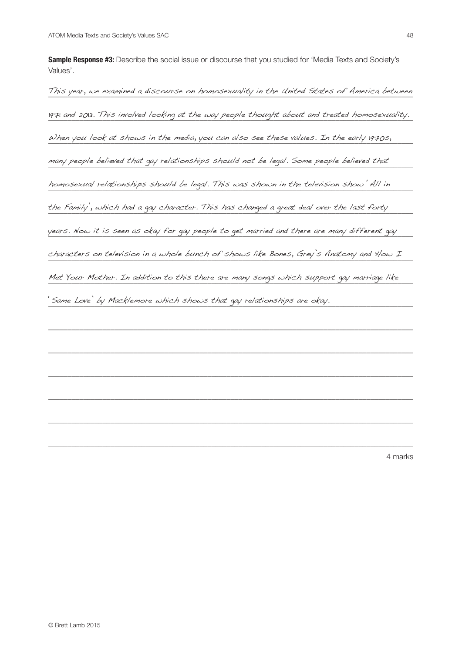**Sample Response #3:** Describe the social issue or discourse that you studied for 'Media Texts and Society's Values'.

This year, we examined a discourse on homosexuality in the United States of America between 1971 and 2013. This involved looking at the way people thought about and treated homosexuality. When you look at shows in the media, you can also see these values. In the early 1970s,  $\blacksquare$ many people believed that gay relationships should not be legal. Some people believed that homosexual relationships should be legal. This was shown in the television show 'All in wear of the shown', th the Family', which had a gay character. This has changed a great deal over the last forty were the last forty  $\sim$ years. Now it is seen as okay for gay people to get married and there are many different gay  $\qquad$ characters on television in a whole bunch of shows like Bones, Grey's Anatomy and How I Met Your Mother. In addition to this there are many songs which support gay marriage like warriage like warriage like warriage like warriage like warriage like warriage like warriage like warriage like warriage like warria \_\_\_\_\_\_\_\_\_\_\_\_\_\_\_\_\_\_\_\_\_\_\_\_\_\_\_\_\_\_\_\_\_\_\_\_\_\_\_\_\_\_\_\_\_\_\_\_\_\_\_\_\_\_\_\_\_\_\_\_\_\_\_\_\_\_\_\_\_\_\_\_\_\_\_\_\_\_\_\_\_\_\_\_\_\_\_\_\_\_\_\_\_\_ 'Same Love' by Macklemore which shows that gay relationships are okay.\_\_\_\_\_\_\_\_\_\_\_\_\_\_\_\_\_\_\_\_\_\_\_\_\_\_\_\_\_\_\_\_\_\_\_\_\_\_\_\_\_\_\_\_\_\_\_\_\_\_\_\_\_\_\_\_\_\_\_\_\_\_\_\_\_\_\_\_\_\_\_\_\_\_\_\_\_\_\_\_\_\_\_\_\_\_\_\_\_\_\_\_\_\_ \_\_\_\_\_\_\_\_\_\_\_\_\_\_\_\_\_\_\_\_\_\_\_\_\_\_\_\_\_\_\_\_\_\_\_\_\_\_\_\_\_\_\_\_\_\_\_\_\_\_\_\_\_\_\_\_\_\_\_\_\_\_\_\_\_\_\_\_\_\_\_\_\_\_\_\_\_\_\_\_\_\_\_\_\_\_\_\_\_\_\_\_\_\_ \_\_\_\_\_\_\_\_\_\_\_\_\_\_\_\_\_\_\_\_\_\_\_\_\_\_\_\_\_\_\_\_\_\_\_\_\_\_\_\_\_\_\_\_\_\_\_\_\_\_\_\_\_\_\_\_\_\_\_\_\_\_\_\_\_\_\_\_\_\_\_\_\_\_\_\_\_\_\_\_\_\_\_\_\_\_\_\_\_\_\_\_\_\_

\_\_\_\_\_\_\_\_\_\_\_\_\_\_\_\_\_\_\_\_\_\_\_\_\_\_\_\_\_\_\_\_\_\_\_\_\_\_\_\_\_\_\_\_\_\_\_\_\_\_\_\_\_\_\_\_\_\_\_\_\_\_\_\_\_\_\_\_\_\_\_\_\_\_\_\_\_\_\_\_\_\_\_\_\_\_\_\_\_\_\_\_\_\_

\_\_\_\_\_\_\_\_\_\_\_\_\_\_\_\_\_\_\_\_\_\_\_\_\_\_\_\_\_\_\_\_\_\_\_\_\_\_\_\_\_\_\_\_\_\_\_\_\_\_\_\_\_\_\_\_\_\_\_\_\_\_\_\_\_\_\_\_\_\_\_\_\_\_\_\_\_\_\_\_\_\_\_\_\_\_\_\_\_\_\_\_\_\_

\_\_\_\_\_\_\_\_\_\_\_\_\_\_\_\_\_\_\_\_\_\_\_\_\_\_\_\_\_\_\_\_\_\_\_\_\_\_\_\_\_\_\_\_\_\_\_\_\_\_\_\_\_\_\_\_\_\_\_\_\_\_\_\_\_\_\_\_\_\_\_\_\_\_\_\_\_\_\_\_\_\_\_\_\_\_\_\_\_\_\_\_\_\_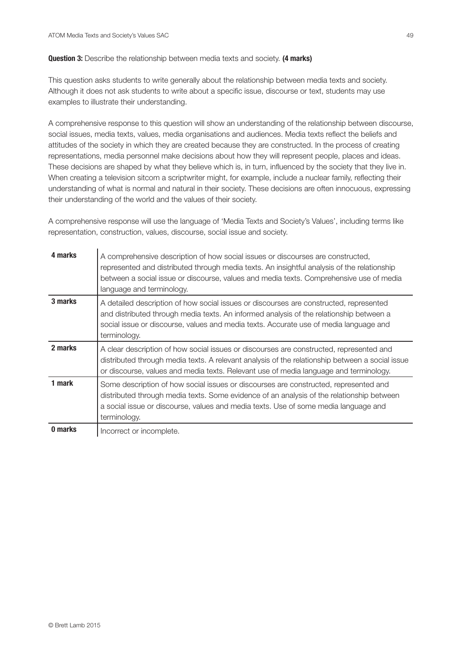## **Question 3:** Describe the relationship between media texts and society. **(4 marks)**

This question asks students to write generally about the relationship between media texts and society. Although it does not ask students to write about a specific issue, discourse or text, students may use examples to illustrate their understanding.

A comprehensive response to this question will show an understanding of the relationship between discourse, social issues, media texts, values, media organisations and audiences. Media texts reflect the beliefs and attitudes of the society in which they are created because they are constructed. In the process of creating representations, media personnel make decisions about how they will represent people, places and ideas. These decisions are shaped by what they believe which is, in turn, influenced by the society that they live in. When creating a television sitcom a scriptwriter might, for example, include a nuclear family, reflecting their understanding of what is normal and natural in their society. These decisions are often innocuous, expressing their understanding of the world and the values of their society.

A comprehensive response will use the language of 'Media Texts and Society's Values', including terms like representation, construction, values, discourse, social issue and society.

| 4 marks | A comprehensive description of how social issues or discourses are constructed,<br>represented and distributed through media texts. An insightful analysis of the relationship<br>between a social issue or discourse, values and media texts. Comprehensive use of media<br>language and terminology. |
|---------|--------------------------------------------------------------------------------------------------------------------------------------------------------------------------------------------------------------------------------------------------------------------------------------------------------|
| 3 marks | A detailed description of how social issues or discourses are constructed, represented<br>and distributed through media texts. An informed analysis of the relationship between a<br>social issue or discourse, values and media texts. Accurate use of media language and<br>terminology.             |
| 2 marks | A clear description of how social issues or discourses are constructed, represented and<br>distributed through media texts. A relevant analysis of the relationship between a social issue<br>or discourse, values and media texts. Relevant use of media language and terminology.                    |
| 1 mark  | Some description of how social issues or discourses are constructed, represented and<br>distributed through media texts. Some evidence of an analysis of the relationship between<br>a social issue or discourse, values and media texts. Use of some media language and<br>terminology.               |
| 0 marks | Incorrect or incomplete.                                                                                                                                                                                                                                                                               |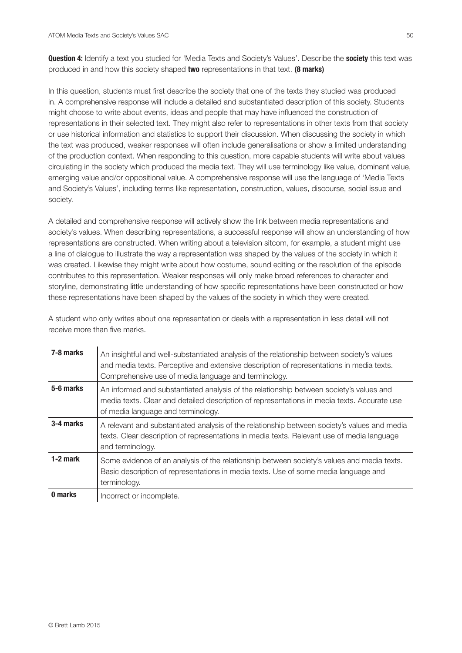**Question 4:** Identify a text you studied for 'Media Texts and Society's Values'. Describe the **society** this text was produced in and how this society shaped **two** representations in that text. **(8 marks)**

In this question, students must first describe the society that one of the texts they studied was produced in. A comprehensive response will include a detailed and substantiated description of this society. Students might choose to write about events, ideas and people that may have influenced the construction of representations in their selected text. They might also refer to representations in other texts from that society or use historical information and statistics to support their discussion. When discussing the society in which the text was produced, weaker responses will often include generalisations or show a limited understanding of the production context. When responding to this question, more capable students will write about values circulating in the society which produced the media text. They will use terminology like value, dominant value, emerging value and/or oppositional value. A comprehensive response will use the language of 'Media Texts and Society's Values', including terms like representation, construction, values, discourse, social issue and society.

A detailed and comprehensive response will actively show the link between media representations and society's values. When describing representations, a successful response will show an understanding of how representations are constructed. When writing about a television sitcom, for example, a student might use a line of dialogue to illustrate the way a representation was shaped by the values of the society in which it was created. Likewise they might write about how costume, sound editing or the resolution of the episode contributes to this representation. Weaker responses will only make broad references to character and storyline, demonstrating little understanding of how specific representations have been constructed or how these representations have been shaped by the values of the society in which they were created.

A student who only writes about one representation or deals with a representation in less detail will not receive more than five marks.

| 7-8 marks  | An insightful and well-substantiated analysis of the relationship between society's values<br>and media texts. Perceptive and extensive description of representations in media texts.<br>Comprehensive use of media language and terminology. |
|------------|------------------------------------------------------------------------------------------------------------------------------------------------------------------------------------------------------------------------------------------------|
| 5-6 marks  | An informed and substantiated analysis of the relationship between society's values and<br>media texts. Clear and detailed description of representations in media texts. Accurate use<br>of media language and terminology.                   |
| 3-4 marks  | A relevant and substantiated analysis of the relationship between society's values and media<br>texts. Clear description of representations in media texts. Relevant use of media language<br>and terminology.                                 |
| $1-2$ mark | Some evidence of an analysis of the relationship between society's values and media texts.<br>Basic description of representations in media texts. Use of some media language and<br>terminology.                                              |
| 0 marks    | Incorrect or incomplete.                                                                                                                                                                                                                       |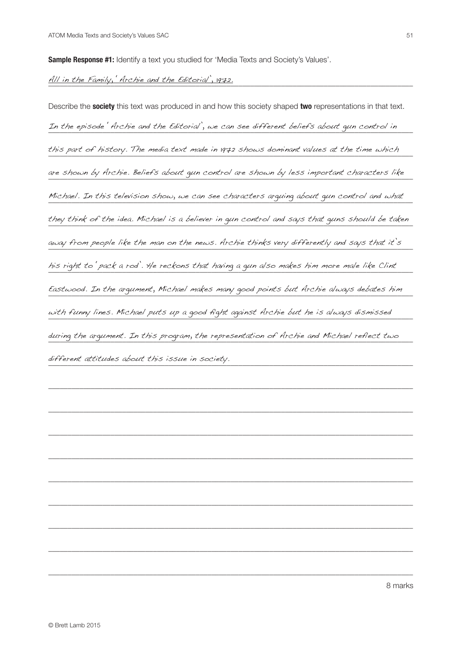**Sample Response #1:** Identify a text you studied for 'Media Texts and Society's Values'.

## \_\_\_\_\_\_\_\_\_\_\_\_\_\_\_\_\_\_\_\_\_\_\_\_\_\_\_\_\_\_\_\_\_\_\_\_\_\_\_\_\_\_\_\_\_\_\_\_\_\_\_\_\_\_\_\_\_\_\_\_\_\_\_\_\_\_\_\_\_\_\_\_\_\_\_\_\_\_\_\_\_\_\_\_\_\_\_\_\_\_\_\_\_\_ All in the Family, 'Archie and the Editorial', 1972.

Describe the **society** this text was produced in and how this society shaped **two** representations in that text. \_\_\_\_\_\_\_\_\_\_\_\_\_\_\_\_\_\_\_\_\_\_\_\_\_\_\_\_\_\_\_\_\_\_\_\_\_\_\_\_\_\_\_\_\_\_\_\_\_\_\_\_\_\_\_\_\_\_\_\_\_\_\_\_\_\_\_\_\_\_\_\_\_\_\_\_\_\_\_\_\_\_\_\_\_\_\_\_\_\_\_\_\_\_ In the episode 'Archie and the Editorial', we can see different beliefs about gun control in this part of history. The media text made in 1972 shows dominant values at the time which \_\_\_\_\_\_\_\_\_\_\_\_\_\_\_\_\_\_\_\_\_\_\_\_\_\_\_\_\_\_\_\_\_\_\_\_\_\_\_\_\_\_\_\_\_\_\_\_\_\_\_\_\_\_\_\_\_\_\_\_\_\_\_\_\_\_\_\_\_\_\_\_\_\_\_\_\_\_\_\_\_\_\_\_\_\_\_\_\_\_\_\_\_\_ are shown by Archie. Beliefs about gun control are shown by less important characters like Michael. In this television show, we can see characters arguing about gun control and what  $\blacksquare$ \_\_\_\_\_\_\_\_\_\_\_\_\_\_\_\_\_\_\_\_\_\_\_\_\_\_\_\_\_\_\_\_\_\_\_\_\_\_\_\_\_\_\_\_\_\_\_\_\_\_\_\_\_\_\_\_\_\_\_\_\_\_\_\_\_\_\_\_\_\_\_\_\_\_\_\_\_\_\_\_\_\_\_\_\_\_\_\_\_\_\_\_\_\_ they think of the idea. Michael is a believer in gun control and says that guns should be taken away from people like the man on the news. Archie thinks very differently and says that it's  $\rule{1em}{0.25mm}$ his right to 'pack a rod'. He reckons that having a gun also makes him more male like Clint Eastwood. In the argument, Michael makes many good points but Archie always debates him \_\_\_\_\_\_\_\_\_\_\_\_\_\_\_\_\_\_\_\_\_\_\_\_\_\_\_\_\_\_\_\_\_\_\_\_\_\_\_\_\_\_\_\_\_\_\_\_\_\_\_\_\_\_\_\_\_\_\_\_\_\_\_\_\_\_\_\_\_\_\_\_\_\_\_\_\_\_\_\_\_\_\_\_\_\_\_\_\_\_\_\_\_\_ with funny lines. Michael puts up a good fight against Archie but he is always dismissed \_\_\_\_\_\_\_\_\_\_\_\_\_\_\_\_\_\_\_\_\_\_\_\_\_\_\_\_\_\_\_\_\_\_\_\_\_\_\_\_\_\_\_\_\_\_\_\_\_\_\_\_\_\_\_\_\_\_\_\_\_\_\_\_\_\_\_\_\_\_\_\_\_\_\_\_\_\_\_\_\_\_\_\_\_\_\_\_\_\_\_\_\_\_ during the argument. In this program, the representation of Archie and Michael reflect two \_\_\_\_\_\_\_\_\_\_\_\_\_\_\_\_\_\_\_\_\_\_\_\_\_\_\_\_\_\_\_\_\_\_\_\_\_\_\_\_\_\_\_\_\_\_\_\_\_\_\_\_\_\_\_\_\_\_\_\_\_\_\_\_\_\_\_\_\_\_\_\_\_\_\_\_\_\_\_\_\_\_\_\_\_\_\_\_\_\_\_\_\_\_ different attitudes about this issue in society.

 $\_$  ,  $\_$  ,  $\_$  ,  $\_$  ,  $\_$  ,  $\_$  ,  $\_$  ,  $\_$  ,  $\_$  ,  $\_$  ,  $\_$  ,  $\_$  ,  $\_$  ,  $\_$  ,  $\_$  ,  $\_$  ,  $\_$  ,  $\_$  ,  $\_$  ,  $\_$  ,  $\_$  ,  $\_$  ,  $\_$  ,  $\_$  ,  $\_$  ,  $\_$  ,  $\_$  ,  $\_$  ,  $\_$  ,  $\_$  ,  $\_$  ,  $\_$  ,  $\_$  ,  $\_$  ,  $\_$  ,  $\_$  ,  $\_$  ,

 $\_$  ,  $\_$  ,  $\_$  ,  $\_$  ,  $\_$  ,  $\_$  ,  $\_$  ,  $\_$  ,  $\_$  ,  $\_$  ,  $\_$  ,  $\_$  ,  $\_$  ,  $\_$  ,  $\_$  ,  $\_$  ,  $\_$  ,  $\_$  ,  $\_$  ,  $\_$  ,  $\_$  ,  $\_$  ,  $\_$  ,  $\_$  ,  $\_$  ,  $\_$  ,  $\_$  ,  $\_$  ,  $\_$  ,  $\_$  ,  $\_$  ,  $\_$  ,  $\_$  ,  $\_$  ,  $\_$  ,  $\_$  ,  $\_$  ,

 $\_$  ,  $\_$  ,  $\_$  ,  $\_$  ,  $\_$  ,  $\_$  ,  $\_$  ,  $\_$  ,  $\_$  ,  $\_$  ,  $\_$  ,  $\_$  ,  $\_$  ,  $\_$  ,  $\_$  ,  $\_$  ,  $\_$  ,  $\_$  ,  $\_$  ,  $\_$  ,  $\_$  ,  $\_$  ,  $\_$  ,  $\_$  ,  $\_$  ,  $\_$  ,  $\_$  ,  $\_$  ,  $\_$  ,  $\_$  ,  $\_$  ,  $\_$  ,  $\_$  ,  $\_$  ,  $\_$  ,  $\_$  ,  $\_$  ,

 $\_$  ,  $\_$  ,  $\_$  ,  $\_$  ,  $\_$  ,  $\_$  ,  $\_$  ,  $\_$  ,  $\_$  ,  $\_$  ,  $\_$  ,  $\_$  ,  $\_$  ,  $\_$  ,  $\_$  ,  $\_$  ,  $\_$  ,  $\_$  ,  $\_$  ,  $\_$  ,  $\_$  ,  $\_$  ,  $\_$  ,  $\_$  ,  $\_$  ,  $\_$  ,  $\_$  ,  $\_$  ,  $\_$  ,  $\_$  ,  $\_$  ,  $\_$  ,  $\_$  ,  $\_$  ,  $\_$  ,  $\_$  ,  $\_$  ,

 $\_$  ,  $\_$  ,  $\_$  ,  $\_$  ,  $\_$  ,  $\_$  ,  $\_$  ,  $\_$  ,  $\_$  ,  $\_$  ,  $\_$  ,  $\_$  ,  $\_$  ,  $\_$  ,  $\_$  ,  $\_$  ,  $\_$  ,  $\_$  ,  $\_$  ,  $\_$  ,  $\_$  ,  $\_$  ,  $\_$  ,  $\_$  ,  $\_$  ,  $\_$  ,  $\_$  ,  $\_$  ,  $\_$  ,  $\_$  ,  $\_$  ,  $\_$  ,  $\_$  ,  $\_$  ,  $\_$  ,  $\_$  ,  $\_$  ,

\_\_\_\_\_\_\_\_\_\_\_\_\_\_\_\_\_\_\_\_\_\_\_\_\_\_\_\_\_\_\_\_\_\_\_\_\_\_\_\_\_\_\_\_\_\_\_\_\_\_\_\_\_\_\_\_\_\_\_\_\_\_\_\_\_\_\_\_\_\_\_\_\_\_\_\_\_\_\_\_\_\_\_\_\_\_\_\_\_\_\_\_\_\_

\_\_\_\_\_\_\_\_\_\_\_\_\_\_\_\_\_\_\_\_\_\_\_\_\_\_\_\_\_\_\_\_\_\_\_\_\_\_\_\_\_\_\_\_\_\_\_\_\_\_\_\_\_\_\_\_\_\_\_\_\_\_\_\_\_\_\_\_\_\_\_\_\_\_\_\_\_\_\_\_\_\_\_\_\_\_\_\_\_\_\_\_\_\_

\_\_\_\_\_\_\_\_\_\_\_\_\_\_\_\_\_\_\_\_\_\_\_\_\_\_\_\_\_\_\_\_\_\_\_\_\_\_\_\_\_\_\_\_\_\_\_\_\_\_\_\_\_\_\_\_\_\_\_\_\_\_\_\_\_\_\_\_\_\_\_\_\_\_\_\_\_\_\_\_\_\_\_\_\_\_\_\_\_\_\_\_\_\_

\_\_\_\_\_\_\_\_\_\_\_\_\_\_\_\_\_\_\_\_\_\_\_\_\_\_\_\_\_\_\_\_\_\_\_\_\_\_\_\_\_\_\_\_\_\_\_\_\_\_\_\_\_\_\_\_\_\_\_\_\_\_\_\_\_\_\_\_\_\_\_\_\_\_\_\_\_\_\_\_\_\_\_\_\_\_\_\_\_\_\_\_\_\_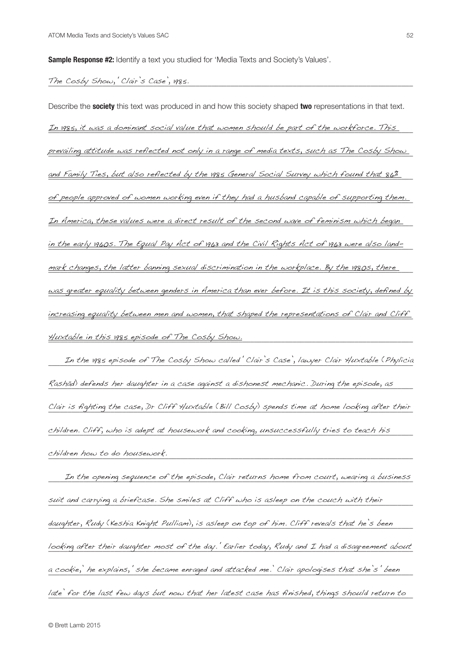**Sample Response #2:** Identify a text you studied for 'Media Texts and Society's Values'.

## \_\_\_\_\_\_\_\_\_\_\_\_\_\_\_\_\_\_\_\_\_\_\_\_\_\_\_\_\_\_\_\_\_\_\_\_\_\_\_\_\_\_\_\_\_\_\_\_\_\_\_\_\_\_\_\_\_\_\_\_\_\_\_\_\_\_\_\_\_\_\_\_\_\_\_\_\_\_\_\_\_\_\_\_\_\_\_\_\_\_\_\_\_\_ The Cosby Show, 'Clair's Case', 1985.

Describe the **society** this text was produced in and how this society shaped **two** representations in that text. <u>In 1985, it was a dominant social value that women should be part of the workforce. This </u> <u>prevailing attitude was reflected not only in a range of media texts, such as The Cosby Show .</u> and Family Ties, but also reflected by the 1985 General Social Survey which found that 86% <u>of people approved of women working even if they had a husband capable of supporting them.</u> <u>In America, these values were a direct result of the second wave of feminism which began</u> <u>in the early 1960s. The Equal Pay Act of 1963 and the Civil Rights Act of 1963 were also land-</u> <u>mark changes, the latter banning sexual discrimination in the workplace. By the 1980s, there  $\,$ </u> <u>was greater e*quality between* genders in America than ever *before. It is this society, defined by*</u> <u>increasing equality between men and women, that shaped the representations of Clair and Cliff .</u> \_\_\_\_\_\_\_\_\_\_\_\_\_\_\_\_\_\_\_\_\_\_\_\_\_\_\_\_\_\_\_\_\_\_\_\_\_\_\_\_\_\_\_\_\_\_\_\_\_\_\_\_\_\_\_\_\_\_\_\_\_\_\_\_\_\_\_\_\_\_\_\_\_\_\_\_\_\_\_\_\_\_\_\_\_\_\_\_\_\_\_\_\_\_ Huxtable in this 1985 episode of The Cosby Show.

\_\_\_\_\_\_\_\_\_\_\_\_\_\_\_\_\_\_\_\_\_\_\_\_\_\_\_\_\_\_\_\_\_\_\_\_\_\_\_\_\_\_\_\_\_\_\_\_\_\_\_\_\_\_\_\_\_\_\_\_\_\_\_\_\_\_\_\_\_\_\_\_\_\_\_\_\_\_\_\_\_\_\_\_\_\_\_\_\_\_\_\_\_\_ In the 1985 episode of The Cosby Show called 'Clair's Case', lawyer Clair Huxtable (Phylicia \_\_\_\_\_\_\_\_\_\_\_\_\_\_\_\_\_\_\_\_\_\_\_\_\_\_\_\_\_\_\_\_\_\_\_\_\_\_\_\_\_\_\_\_\_\_\_\_\_\_\_\_\_\_\_\_\_\_\_\_\_\_\_\_\_\_\_\_\_\_\_\_\_\_\_\_\_\_\_\_\_\_\_\_\_\_\_\_\_\_\_\_\_\_ Rashād) defends her daughter in a case against a dishonest mechanic. During the episode, as Clair is fighting the case, Dr Cliff Huxtable (Bill Cosby) spends time at home looking after their  $childen.$  Cliff, who is adept at housework and cooking, unsuccessfully tries to teach his  $\rule{1em}{0.15mm}$  $\emph{children how to do howsework.}$ 

In the opening sequence of the episode, Clair returns home from court, wearing a business  $\overline{\phantom{a}}$ suit and carrying a briefcase. She smiles at Cliff who is asleep on the couch with their with their couch with their  $\sim$ daughter, Rudy (Keshia Knight Pulliam), is asleep on top of him. Cliff reveals that he's been weer looking after their daughter most of the day.' Earlier today, Rudy and I had a disagreement about a cookie,' he explains,' she became enraged and attacked me.' Clair apologises that she's 'been late' for the last few days but now that her latest case has finished, things should return to  $\blacksquare$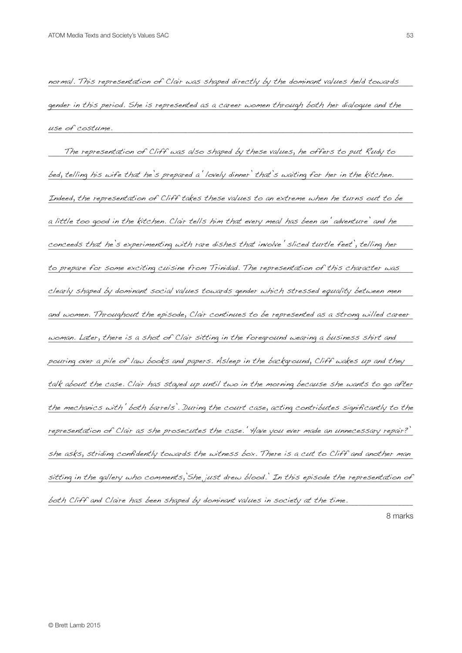normal. This representation of Clair was shaped directly by the dominant values held towards  $\blacksquare$ gender in this period. She is represented as a career women through both her dialogue and the  $\blacksquare$ \_\_\_\_\_\_\_\_\_\_\_\_\_\_\_\_\_\_\_\_\_\_\_\_\_\_\_\_\_\_\_\_\_\_\_\_\_\_\_\_\_\_\_\_\_\_\_\_\_\_\_\_\_\_\_\_\_\_\_\_\_\_\_\_\_\_\_\_\_\_\_\_\_\_\_\_\_\_\_\_\_\_\_\_\_\_\_\_\_\_\_\_\_\_ use of costume.

The representation of Cliff was also shaped by these values, he offers to put Rudy to  $\blacksquare$ bed, telling his wife that he's prepared a 'lovely dinner' that's waiting for her in the kitchen.  $\qquad \qquad \blacksquare$ Indeed, the representation of Cliff takes these values to an extreme when he turns out to be  $\blacksquare$ a little too good in the kitchen. Clair tells him that every meal has been an 'adventure' and he conceeds that he's experimenting with rare dishes that involve 'sliced turtle feet', telling her  $\blacksquare$ to prepare for some exciting cuisine from Trinidad. The representation of this character was  $\blacksquare$  $\emph{clearly Shaped by dominant social values towards gender which stressed equality between men$ and women. Throughout the episode, Clair continues to be represented as a strong willed career woman. Later, there is a shot of Clair sitting in the foreground wearing a business shirt and  $\blacksquare$ pouring over a pile of law books and papers. Asleep in the background, Cliff wakes up and they  $\_$ talk about the case. Clair has stayed up until two in the morning because she wants to go after the mechanics with 'both barrels'. During the court case, acting contributes significantly to the representation of Clair as she prosecutes the case.' Have you ever made an unnecessary repair?' she asks, striding confidently towards the witness box. There is a cut to Cliff and another man sitting in the gallery who comments, She just drew blood.' In this episode the representation of both Cliff and Claire has been shaped by dominant values in society at the time.  $\hskip10mm$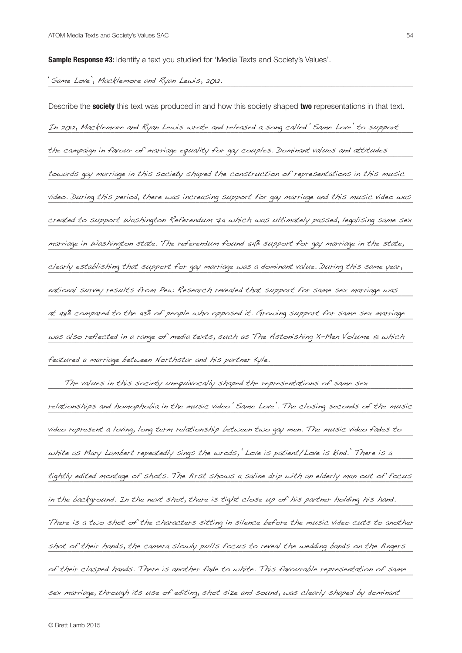**Sample Response #3:** Identify a text you studied for 'Media Texts and Society's Values'.

## \_\_\_\_\_\_\_\_\_\_\_\_\_\_\_\_\_\_\_\_\_\_\_\_\_\_\_\_\_\_\_\_\_\_\_\_\_\_\_\_\_\_\_\_\_\_\_\_\_\_\_\_\_\_\_\_\_\_\_\_\_\_\_\_\_\_\_\_\_\_\_\_\_\_\_\_\_\_\_\_\_\_\_\_\_\_\_\_\_\_\_\_\_\_ 'Same Love', Macklemore and Ryan Lewis, 2012.

Describe the **society** this text was produced in and how this society shaped **two** representations in that text. \_\_\_\_\_\_\_\_\_\_\_\_\_\_\_\_\_\_\_\_\_\_\_\_\_\_\_\_\_\_\_\_\_\_\_\_\_\_\_\_\_\_\_\_\_\_\_\_\_\_\_\_\_\_\_\_\_\_\_\_\_\_\_\_\_\_\_\_\_\_\_\_\_\_\_\_\_\_\_\_\_\_\_\_\_\_\_\_\_\_\_\_\_\_ In 2012, Macklemore and Ryan Lewis wrote and released a song called 'Same Love' to support the campaign in favour of marriage equality for gay couples. Dominant values and attitudes towards gay marriage in this society shaped the construction of representations in this music video. During this period, there was increasing support for gay marriage and this music video was  $\overline{\phantom{a}}$ created to support Washington Referendum 74 which was ultimately passed, legalising same sex marriage in Washington state. The referendum found 54% support for gay marriage in the state,  $\blacksquare$ clearly establishing that support for gay marriage was a dominant value. During this same year, national survey results from Pew Research revealed that support for same sex marriage was at 48% compared to the 43% of people who opposed it. Growing support for same sex marriage was also reflected in a range of media texts, such as The Astonishing X-Men Volume 51 which \_\_\_\_\_\_\_\_\_\_\_\_\_\_\_\_\_\_\_\_\_\_\_\_\_\_\_\_\_\_\_\_\_\_\_\_\_\_\_\_\_\_\_\_\_\_\_\_\_\_\_\_\_\_\_\_\_\_\_\_\_\_\_\_\_\_\_\_\_\_\_\_\_\_\_\_\_\_\_\_\_\_\_\_\_\_\_\_\_\_\_\_\_\_ featured a marriage between Northstar and his partner Kyle.

The values in this society unequivocally shaped the representations of same sex relationships and homophobia in the music video 'Same Love'. The closing seconds of the music video represent a loving, long term relationship between two gay men. The music video fades to white as Mary Lambert repeatedly sings the wrods, 'Love is patient/Love is kind.' There is a tightly edited montage of shots. The first shows a saline drip with an elderly man out of focus \_\_\_\_\_\_\_\_\_\_\_\_\_\_\_\_\_\_\_\_\_\_\_\_\_\_\_\_\_\_\_\_\_\_\_\_\_\_\_\_\_\_\_\_\_\_\_\_\_\_\_\_\_\_\_\_\_\_\_\_\_\_\_\_\_\_\_\_\_\_\_\_\_\_\_\_\_\_\_\_\_\_\_\_\_\_\_\_\_\_\_\_\_\_ in the background. In the next shot, there is tight close up of his partner holding his hand. There is a two shot of the characters sitting in silence before the music video cuts to another  $\overline{\phantom{a}}$ \_\_\_\_\_\_\_\_\_\_\_\_\_\_\_\_\_\_\_\_\_\_\_\_\_\_\_\_\_\_\_\_\_\_\_\_\_\_\_\_\_\_\_\_\_\_\_\_\_\_\_\_\_\_\_\_\_\_\_\_\_\_\_\_\_\_\_\_\_\_\_\_\_\_\_\_\_\_\_\_\_\_\_\_\_\_\_\_\_\_\_\_\_\_ shot of their hands, the camera slowly pulls focus to reveal the wedding bands on the fingers of their clasped hands. There is another fade to white. This favourable representation of same sex marriage, through its use of editing, shot size and sound, was clearly shaped by dominant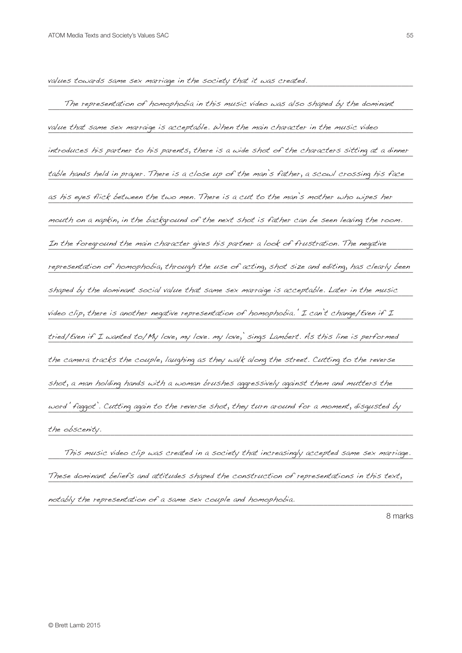values towards same sex marriage in the society that it was created.<br>————————————————————

The representation of homophobia in this music video was also shaped by the dominant value that same sex marraige is acceptable. When the main character in the music video **with the main tend of th** introduces his partner to his parents, there is a wide shot of the characters sitting at a dinner table hands held in prayer. There is a close up of the man's father, a scowl crossing his face \_\_\_\_\_\_\_\_\_\_\_\_\_\_\_\_\_\_\_\_\_\_\_\_\_\_\_\_\_\_\_\_\_\_\_\_\_\_\_\_\_\_\_\_\_\_\_\_\_\_\_\_\_\_\_\_\_\_\_\_\_\_\_\_\_\_\_\_\_\_\_\_\_\_\_\_\_\_\_\_\_\_\_\_\_\_\_\_\_\_\_\_\_\_ as his eyes flick between the two men. There is a cut to the man's mother who wipes her mouth on a napkin, in the background of the next shot is father can be seen leaving the room. In the foreground the main character gives his partner a look of frustration. The negative representation of homophobia, through the use of acting, shot size and editing, has clearly been shaped by the dominant social value that same sex marraige is acceptable. Later in the music  $\blacksquare$ video clip, there is another negative representation of homophobia. ' I can't change/Even if I  $\blacksquare$ tried/Even if I wanted to/My love, my love. my love,' sings Lambert. As this line is performed the camera tracks the couple, laughing as they walk along the street. Cutting to the reverse  $\rule{1em}{0.15mm}$ shot, a man holding hands with a woman brushes aggressively against them and mutters the straining the straini word 'faggot'. Cutting again to the reverse shot, they turn around for a moment, disgusted by w The obscenty. the obscenity.

. This music video clip was created in a society that increasingly accepted same sex marriage. These dominant beliefs and attitudes shaped the construction of representations in this text,  $\blacksquare$ \_\_\_\_\_\_\_\_\_\_\_\_\_\_\_\_\_\_\_\_\_\_\_\_\_\_\_\_\_\_\_\_\_\_\_\_\_\_\_\_\_\_\_\_\_\_\_\_\_\_\_\_\_\_\_\_\_\_\_\_\_\_\_\_\_\_\_\_\_\_\_\_\_\_\_\_\_\_\_\_\_\_\_\_\_\_\_\_\_\_\_\_\_\_ notably the representation of a same sex couple and homophobia.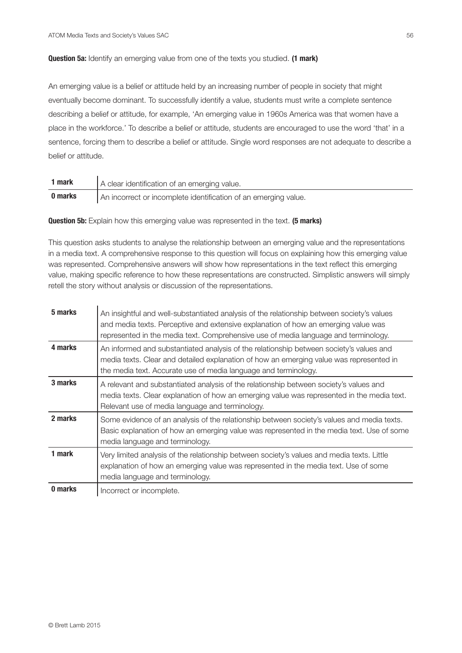## **Question 5a:** Identify an emerging value from one of the texts you studied. **(1 mark)**

An emerging value is a belief or attitude held by an increasing number of people in society that might eventually become dominant. To successfully identify a value, students must write a complete sentence describing a belief or attitude, for example, 'An emerging value in 1960s America was that women have a place in the workforce.' To describe a belief or attitude, students are encouraged to use the word 'that' in a sentence, forcing them to describe a belief or attitude. Single word responses are not adequate to describe a belief or attitude.

| 1 mark  | A clear identification of an emerging value.                    |
|---------|-----------------------------------------------------------------|
| 0 marks | An incorrect or incomplete identification of an emerging value. |

**Question 5b:** Explain how this emerging value was represented in the text. **(5 marks)** 

This question asks students to analyse the relationship between an emerging value and the representations in a media text. A comprehensive response to this question will focus on explaining how this emerging value was represented. Comprehensive answers will show how representations in the text reflect this emerging value, making specific reference to how these representations are constructed. Simplistic answers will simply retell the story without analysis or discussion of the representations.

| 5 marks | An insightful and well-substantiated analysis of the relationship between society's values<br>and media texts. Perceptive and extensive explanation of how an emerging value was<br>represented in the media text. Comprehensive use of media language and terminology. |
|---------|-------------------------------------------------------------------------------------------------------------------------------------------------------------------------------------------------------------------------------------------------------------------------|
| 4 marks | An informed and substantiated analysis of the relationship between society's values and<br>media texts. Clear and detailed explanation of how an emerging value was represented in<br>the media text. Accurate use of media language and terminology.                   |
| 3 marks | A relevant and substantiated analysis of the relationship between society's values and<br>media texts. Clear explanation of how an emerging value was represented in the media text.<br>Relevant use of media language and terminology.                                 |
| 2 marks | Some evidence of an analysis of the relationship between society's values and media texts.<br>Basic explanation of how an emerging value was represented in the media text. Use of some<br>media language and terminology.                                              |
| 1 mark  | Very limited analysis of the relationship between society's values and media texts. Little<br>explanation of how an emerging value was represented in the media text. Use of some<br>media language and terminology.                                                    |
| 0 marks | Incorrect or incomplete.                                                                                                                                                                                                                                                |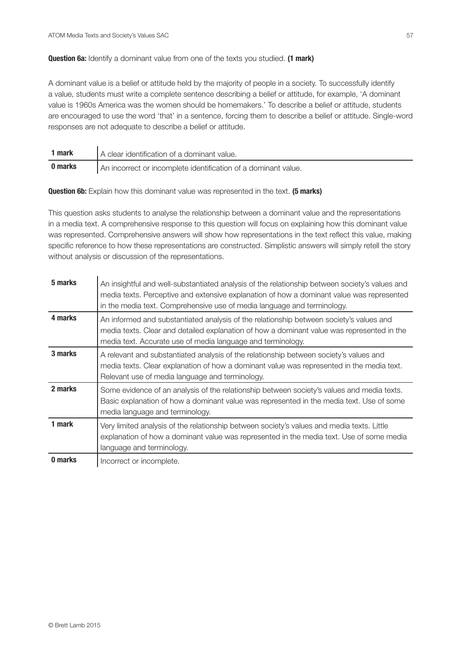## **Question 6a:** Identify a dominant value from one of the texts you studied. **(1 mark)**

A dominant value is a belief or attitude held by the majority of people in a society. To successfully identify a value, students must write a complete sentence describing a belief or attitude, for example, 'A dominant value is 1960s America was the women should be homemakers.' To describe a belief or attitude, students are encouraged to use the word 'that' in a sentence, forcing them to describe a belief or attitude. Single-word responses are not adequate to describe a belief or attitude.

| 1 mark  | A clear identification of a dominant value.                    |
|---------|----------------------------------------------------------------|
| 0 marks | An incorrect or incomplete identification of a dominant value. |

**Question 6b:** Explain how this dominant value was represented in the text. **(5 marks)**

This question asks students to analyse the relationship between a dominant value and the representations in a media text. A comprehensive response to this question will focus on explaining how this dominant value was represented. Comprehensive answers will show how representations in the text reflect this value, making specific reference to how these representations are constructed. Simplistic answers will simply retell the story without analysis or discussion of the representations.

| 5 marks | An insightful and well-substantiated analysis of the relationship between society's values and<br>media texts. Perceptive and extensive explanation of how a dominant value was represented<br>in the media text. Comprehensive use of media language and terminology. |
|---------|------------------------------------------------------------------------------------------------------------------------------------------------------------------------------------------------------------------------------------------------------------------------|
| 4 marks | An informed and substantiated analysis of the relationship between society's values and<br>media texts. Clear and detailed explanation of how a dominant value was represented in the<br>media text. Accurate use of media language and terminology.                   |
| 3 marks | A relevant and substantiated analysis of the relationship between society's values and<br>media texts. Clear explanation of how a dominant value was represented in the media text.<br>Relevant use of media language and terminology.                                 |
| 2 marks | Some evidence of an analysis of the relationship between society's values and media texts.<br>Basic explanation of how a dominant value was represented in the media text. Use of some<br>media language and terminology.                                              |
| 1 mark  | Very limited analysis of the relationship between society's values and media texts. Little<br>explanation of how a dominant value was represented in the media text. Use of some media<br>language and terminology.                                                    |
| 0 marks | Incorrect or incomplete.                                                                                                                                                                                                                                               |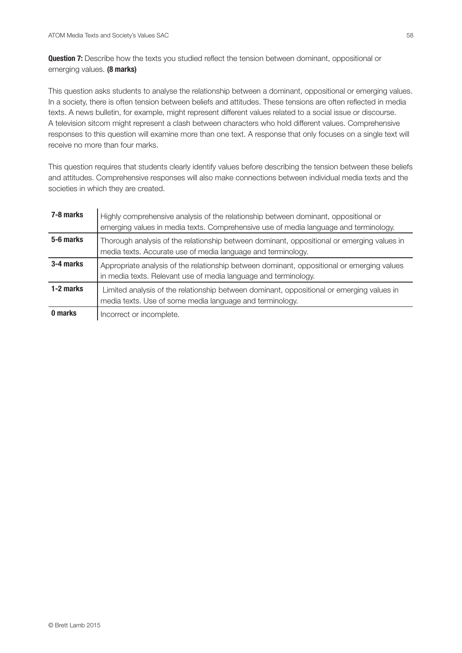**Question 7:** Describe how the texts you studied reflect the tension between dominant, oppositional or emerging values. **(8 marks)**

This question asks students to analyse the relationship between a dominant, oppositional or emerging values. In a society, there is often tension between beliefs and attitudes. These tensions are often reflected in media texts. A news bulletin, for example, might represent different values related to a social issue or discourse. A television sitcom might represent a clash between characters who hold different values. Comprehensive responses to this question will examine more than one text. A response that only focuses on a single text will receive no more than four marks.

This question requires that students clearly identify values before describing the tension between these beliefs and attitudes. Comprehensive responses will also make connections between individual media texts and the societies in which they are created.

| 7-8 marks | Highly comprehensive analysis of the relationship between dominant, oppositional or<br>emerging values in media texts. Comprehensive use of media language and terminology. |
|-----------|-----------------------------------------------------------------------------------------------------------------------------------------------------------------------------|
| 5-6 marks | Thorough analysis of the relationship between dominant, oppositional or emerging values in<br>media texts. Accurate use of media language and terminology.                  |
| 3-4 marks | Appropriate analysis of the relationship between dominant, oppositional or emerging values<br>in media texts. Relevant use of media language and terminology.               |
| 1-2 marks | Limited analysis of the relationship between dominant, oppositional or emerging values in<br>media texts. Use of some media language and terminology.                       |
| 0 marks   | Incorrect or incomplete.                                                                                                                                                    |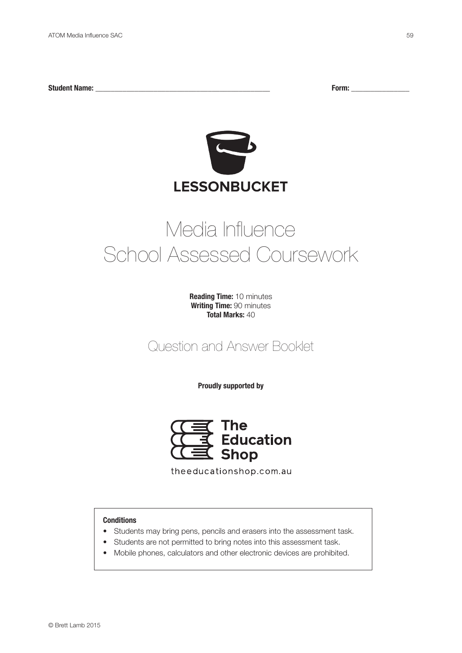**Student Name: \_\_\_\_\_\_\_\_\_\_\_\_\_\_\_\_\_\_\_\_\_\_\_\_\_\_\_\_\_\_\_\_\_\_\_\_\_\_\_\_\_\_\_\_\_ Form: \_\_\_\_\_\_\_\_\_\_\_\_\_\_\_**



## Media Influence School Assessed Coursework

**Reading Time:** 10 minutes **Writing Time:** 90 minutes **Total Marks:** 40

Question and Answer Booklet

**Proudly supported by**



theeducationshop.com.au

## **Conditions**

- Students may bring pens, pencils and erasers into the assessment task.
- Students are not permitted to bring notes into this assessment task.
- Mobile phones, calculators and other electronic devices are prohibited.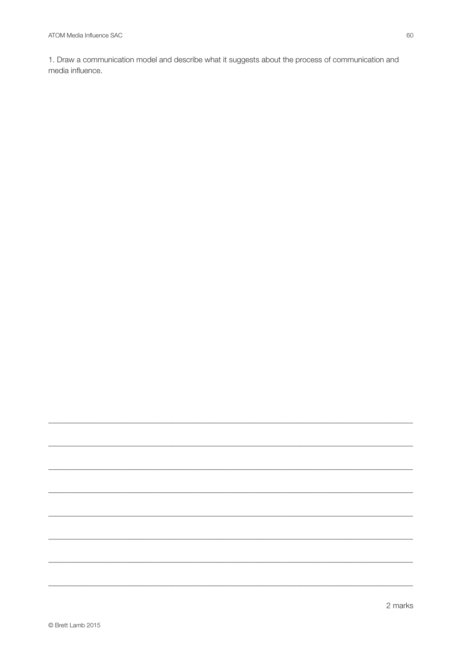1. Draw a communication model and describe what it suggests about the process of communication and media influence.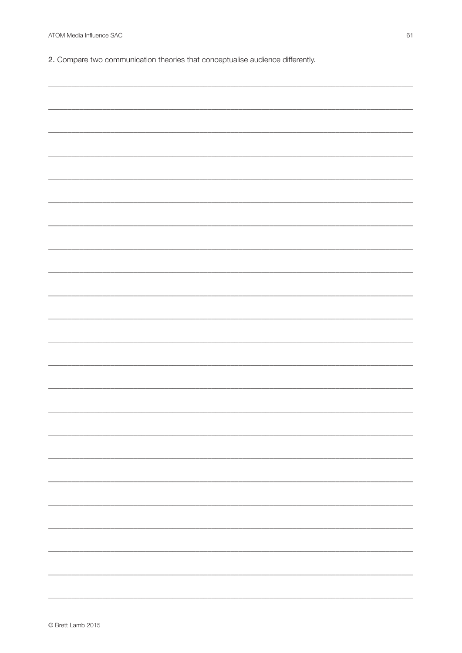2. Compare two communication theories that conceptualise audience differently.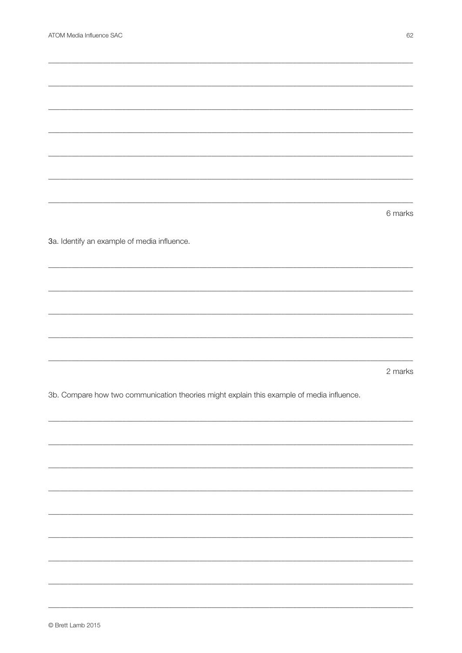|                                                                                           | 6 marks |
|-------------------------------------------------------------------------------------------|---------|
|                                                                                           |         |
| 3a. Identify an example of media influence.                                               |         |
|                                                                                           |         |
|                                                                                           |         |
|                                                                                           |         |
|                                                                                           |         |
|                                                                                           |         |
|                                                                                           |         |
|                                                                                           |         |
|                                                                                           | 2 marks |
| 3b. Compare how two communication theories might explain this example of media influence. |         |
|                                                                                           |         |
|                                                                                           |         |
|                                                                                           |         |
|                                                                                           |         |
|                                                                                           |         |
|                                                                                           |         |
|                                                                                           |         |
|                                                                                           |         |
|                                                                                           |         |
|                                                                                           |         |
|                                                                                           |         |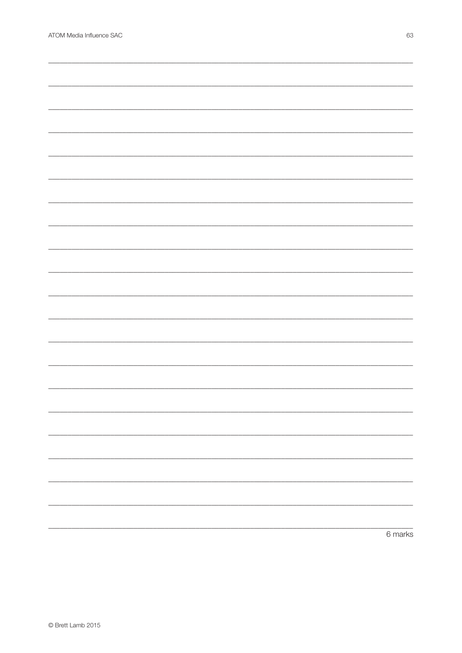| 6 marks |
|---------|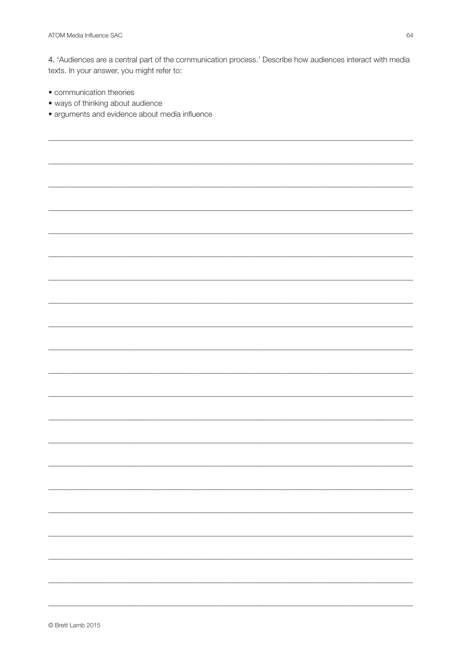4. 'Audiences are a central part of the communication process.' Describe how audiences interact with media texts. In your answer, you might refer to:

- communication theories
- · ways of thinking about audience
- · arguments and evidence about media influence

© Brett Lamb 2015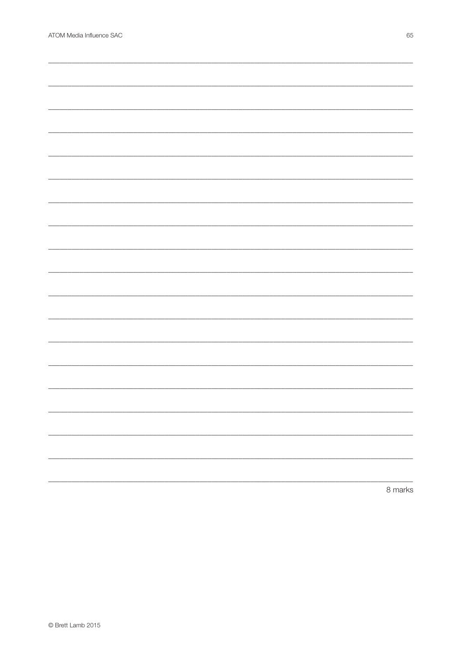|  | 8 marks |
|--|---------|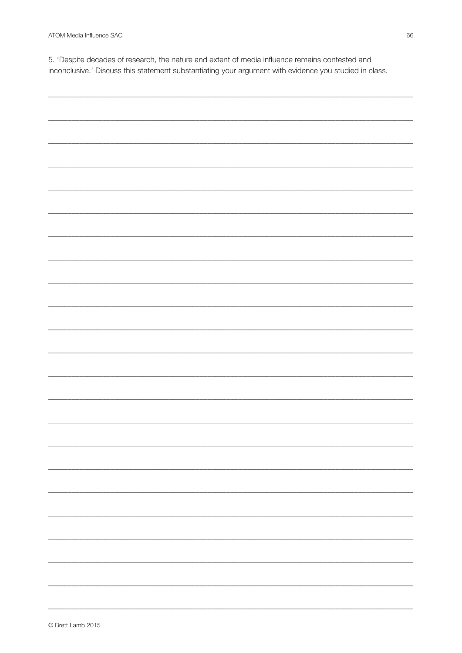5. 'Despite decades of research, the nature and extent of media influence remains contested and inconclusive.' Discuss this statement substantiating your argument with evidence you studied in class.

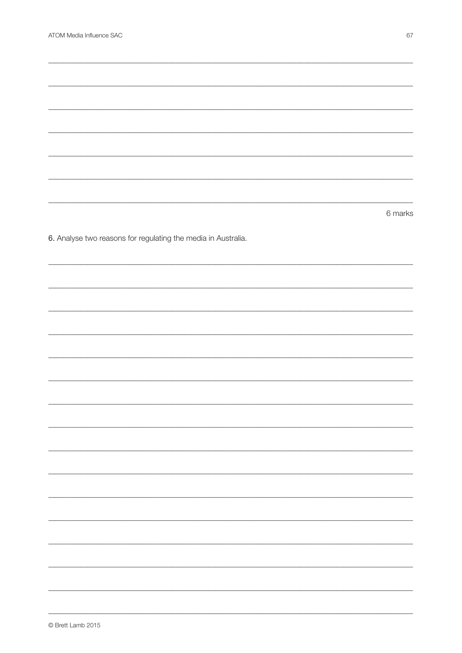|                                                               | 6 marks |
|---------------------------------------------------------------|---------|
|                                                               |         |
| 6. Analyse two reasons for regulating the media in Australia. |         |
|                                                               |         |
|                                                               |         |
|                                                               |         |
|                                                               |         |
|                                                               |         |
|                                                               |         |
|                                                               |         |
|                                                               |         |
|                                                               |         |
|                                                               |         |
|                                                               |         |
|                                                               |         |
|                                                               |         |
|                                                               |         |
|                                                               |         |
|                                                               |         |
|                                                               |         |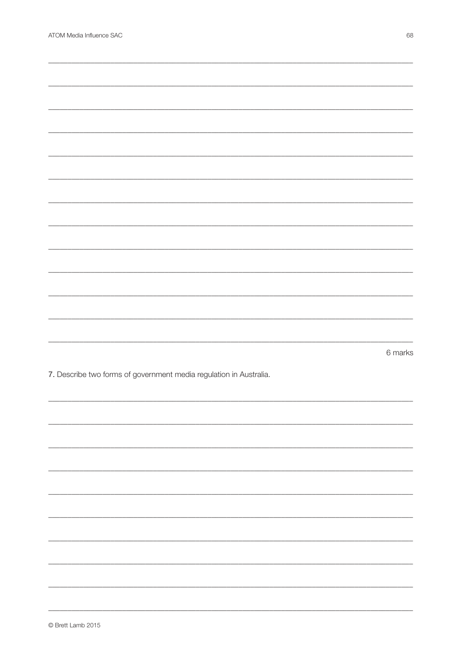|                                                                    | 6 marks |
|--------------------------------------------------------------------|---------|
| 7. Describe two forms of government media regulation in Australia. |         |
|                                                                    |         |
|                                                                    |         |
|                                                                    |         |
|                                                                    |         |
|                                                                    |         |
|                                                                    |         |
|                                                                    |         |
|                                                                    |         |
|                                                                    |         |
|                                                                    |         |
|                                                                    |         |
|                                                                    |         |
|                                                                    |         |
|                                                                    |         |
|                                                                    |         |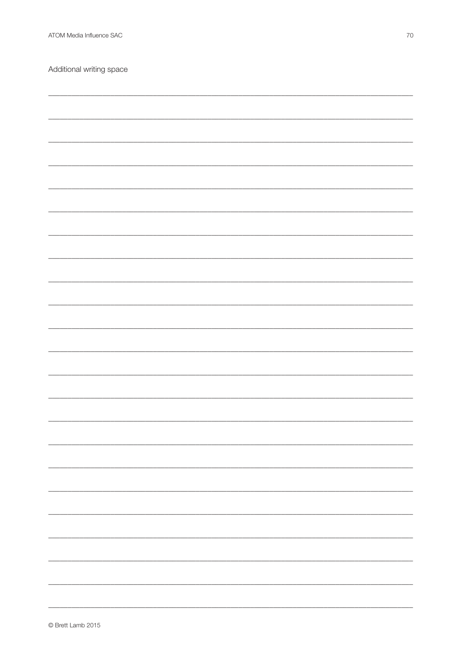Additional writing space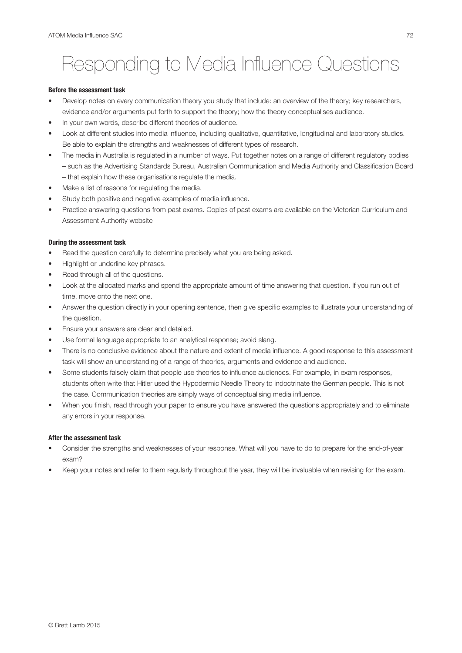# Responding to Media Influence Questions

#### **Before the assessment task**

- Develop notes on every communication theory you study that include: an overview of the theory; key researchers, evidence and/or arguments put forth to support the theory; how the theory conceptualises audience.
- In your own words, describe different theories of audience.
- Look at different studies into media influence, including qualitative, quantitative, longitudinal and laboratory studies. Be able to explain the strengths and weaknesses of different types of research.
- The media in Australia is regulated in a number of ways. Put together notes on a range of different regulatory bodies – such as the Advertising Standards Bureau, Australian Communication and Media Authority and Classification Board – that explain how these organisations regulate the media.
- Make a list of reasons for regulating the media.
- Study both positive and negative examples of media influence.
- Practice answering questions from past exams. Copies of past exams are available on the Victorian Curriculum and Assessment Authority website

### **During the assessment task**

- Read the question carefully to determine precisely what you are being asked.
- Highlight or underline key phrases.
- Read through all of the questions.
- Look at the allocated marks and spend the appropriate amount of time answering that question. If you run out of time, move onto the next one.
- Answer the question directly in your opening sentence, then give specific examples to illustrate your understanding of the question.
- Ensure your answers are clear and detailed.
- Use formal language appropriate to an analytical response; avoid slang.
- There is no conclusive evidence about the nature and extent of media influence. A good response to this assessment task will show an understanding of a range of theories, arguments and evidence and audience.
- Some students falsely claim that people use theories to influence audiences. For example, in exam responses, students often write that Hitler used the Hypodermic Needle Theory to indoctrinate the German people. This is not the case. Communication theories are simply ways of conceptualising media influence.
- When you finish, read through your paper to ensure you have answered the questions appropriately and to eliminate any errors in your response.

## **After the assessment task**

- Consider the strengths and weaknesses of your response. What will you have to do to prepare for the end-of-year exam?
- Keep your notes and refer to them regularly throughout the year, they will be invaluable when revising for the exam.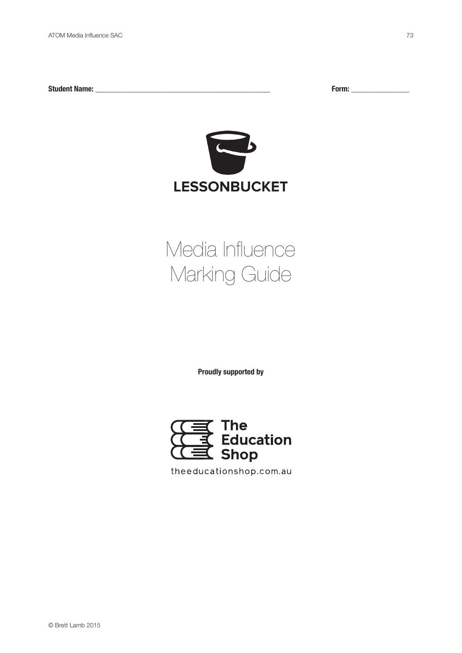**Student Name: \_\_\_\_\_\_\_\_\_\_\_\_\_\_\_\_\_\_\_\_\_\_\_\_\_\_\_\_\_\_\_\_\_\_\_\_\_\_\_\_\_\_\_\_\_ Form: \_\_\_\_\_\_\_\_\_\_\_\_\_\_\_**



# Media Influence Marking Guide

**Proudly supported by**



theeducationshop.com.au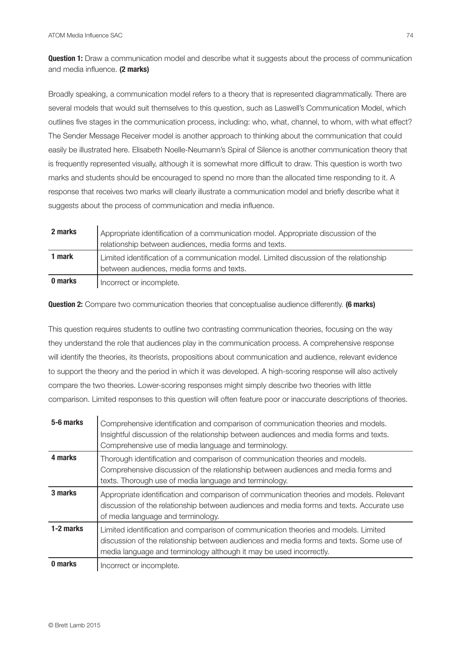**Question 1:** Draw a communication model and describe what it suggests about the process of communication and media influence. **(2 marks)**

Broadly speaking, a communication model refers to a theory that is represented diagrammatically. There are several models that would suit themselves to this question, such as Laswell's Communication Model, which outlines five stages in the communication process, including: who, what, channel, to whom, with what effect? The Sender Message Receiver model is another approach to thinking about the communication that could easily be illustrated here. Elisabeth Noelle-Neumann's Spiral of Silence is another communication theory that is frequently represented visually, although it is somewhat more difficult to draw. This question is worth two marks and students should be encouraged to spend no more than the allocated time responding to it. A response that receives two marks will clearly illustrate a communication model and briefly describe what it suggests about the process of communication and media influence.

| 2 marks | Appropriate identification of a communication model. Appropriate discussion of the<br>relationship between audiences, media forms and texts. |
|---------|----------------------------------------------------------------------------------------------------------------------------------------------|
| 1 mark  | Limited identification of a communication model. Limited discussion of the relationship<br>between audiences, media forms and texts.         |
| 0 marks | Incorrect or incomplete.                                                                                                                     |

**Question 2:** Compare two communication theories that conceptualise audience differently. **(6 marks)**

This question requires students to outline two contrasting communication theories, focusing on the way they understand the role that audiences play in the communication process. A comprehensive response will identify the theories, its theorists, propositions about communication and audience, relevant evidence to support the theory and the period in which it was developed. A high-scoring response will also actively compare the two theories. Lower-scoring responses might simply describe two theories with little comparison. Limited responses to this question will often feature poor or inaccurate descriptions of theories.

| 5-6 marks | Comprehensive identification and comparison of communication theories and models.<br>Insightful discussion of the relationship between audiences and media forms and texts.<br>Comprehensive use of media language and terminology.                   |
|-----------|-------------------------------------------------------------------------------------------------------------------------------------------------------------------------------------------------------------------------------------------------------|
| 4 marks   | Thorough identification and comparison of communication theories and models.<br>Comprehensive discussion of the relationship between audiences and media forms and<br>texts. Thorough use of media language and terminology.                          |
| 3 marks   | Appropriate identification and comparison of communication theories and models. Relevant<br>discussion of the relationship between audiences and media forms and texts. Accurate use<br>of media language and terminology.                            |
| 1-2 marks | Limited identification and comparison of communication theories and models. Limited<br>discussion of the relationship between audiences and media forms and texts. Some use of<br>media language and terminology although it may be used incorrectly. |
| 0 marks   | Incorrect or incomplete.                                                                                                                                                                                                                              |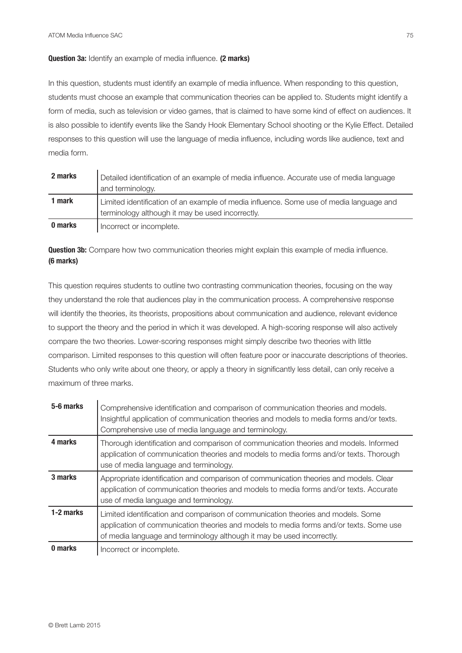## **Question 3a:** Identify an example of media influence. **(2 marks)**

In this question, students must identify an example of media influence. When responding to this question, students must choose an example that communication theories can be applied to. Students might identify a form of media, such as television or video games, that is claimed to have some kind of effect on audiences. It is also possible to identify events like the Sandy Hook Elementary School shooting or the Kylie Effect. Detailed responses to this question will use the language of media influence, including words like audience, text and media form.

| 2 marks | Detailed identification of an example of media influence. Accurate use of media language<br>and terminology. |
|---------|--------------------------------------------------------------------------------------------------------------|
| 1 mark  | Limited identification of an example of media influence. Some use of media language and                      |
|         | terminology although it may be used incorrectly.                                                             |
| 0 marks | Incorrect or incomplete.                                                                                     |

**Question 3b:** Compare how two communication theories might explain this example of media influence. **(6 marks)**

This question requires students to outline two contrasting communication theories, focusing on the way they understand the role that audiences play in the communication process. A comprehensive response will identify the theories, its theorists, propositions about communication and audience, relevant evidence to support the theory and the period in which it was developed. A high-scoring response will also actively compare the two theories. Lower-scoring responses might simply describe two theories with little comparison. Limited responses to this question will often feature poor or inaccurate descriptions of theories. Students who only write about one theory, or apply a theory in significantly less detail, can only receive a maximum of three marks.

| 5-6 marks | Comprehensive identification and comparison of communication theories and models.<br>Insightful application of communication theories and models to media forms and/or texts.<br>Comprehensive use of media language and terminology.                |
|-----------|------------------------------------------------------------------------------------------------------------------------------------------------------------------------------------------------------------------------------------------------------|
| 4 marks   | Thorough identification and comparison of communication theories and models. Informed<br>application of communication theories and models to media forms and/or texts. Thorough<br>use of media language and terminology.                            |
| 3 marks   | Appropriate identification and comparison of communication theories and models. Clear<br>application of communication theories and models to media forms and/or texts. Accurate<br>use of media language and terminology.                            |
| 1-2 marks | Limited identification and comparison of communication theories and models. Some<br>application of communication theories and models to media forms and/or texts. Some use<br>of media language and terminology although it may be used incorrectly. |
| 0 marks   | Incorrect or incomplete.                                                                                                                                                                                                                             |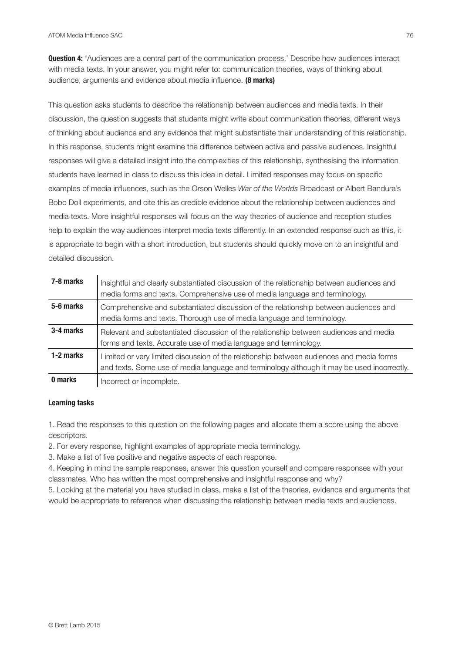**Question 4:** 'Audiences are a central part of the communication process.' Describe how audiences interact with media texts. In your answer, you might refer to: communication theories, ways of thinking about audience, arguments and evidence about media influence. **(8 marks)**

This question asks students to describe the relationship between audiences and media texts. In their discussion, the question suggests that students might write about communication theories, different ways of thinking about audience and any evidence that might substantiate their understanding of this relationship. In this response, students might examine the difference between active and passive audiences. Insightful responses will give a detailed insight into the complexities of this relationship, synthesising the information students have learned in class to discuss this idea in detail. Limited responses may focus on specific examples of media influences, such as the Orson Welles *War of the Worlds* Broadcast or Albert Bandura's Bobo Doll experiments, and cite this as credible evidence about the relationship between audiences and media texts. More insightful responses will focus on the way theories of audience and reception studies help to explain the way audiences interpret media texts differently. In an extended response such as this, it is appropriate to begin with a short introduction, but students should quickly move on to an insightful and detailed discussion.

| 7-8 marks | Insightful and clearly substantiated discussion of the relationship between audiences and<br>media forms and texts. Comprehensive use of media language and terminology.               |
|-----------|----------------------------------------------------------------------------------------------------------------------------------------------------------------------------------------|
| 5-6 marks | Comprehensive and substantiated discussion of the relationship between audiences and<br>media forms and texts. Thorough use of media language and terminology.                         |
| 3-4 marks | Relevant and substantiated discussion of the relationship between audiences and media<br>forms and texts. Accurate use of media language and terminology.                              |
| 1-2 marks | Limited or very limited discussion of the relationship between audiences and media forms<br>and texts. Some use of media language and terminology although it may be used incorrectly. |
| 0 marks   | Incorrect or incomplete.                                                                                                                                                               |

#### **Learning tasks**

1. Read the responses to this question on the following pages and allocate them a score using the above descriptors.

2. For every response, highlight examples of appropriate media terminology.

3. Make a list of five positive and negative aspects of each response.

4. Keeping in mind the sample responses, answer this question yourself and compare responses with your classmates. Who has written the most comprehensive and insightful response and why?

5. Looking at the material you have studied in class, make a list of the theories, evidence and arguments that would be appropriate to reference when discussing the relationship between media texts and audiences.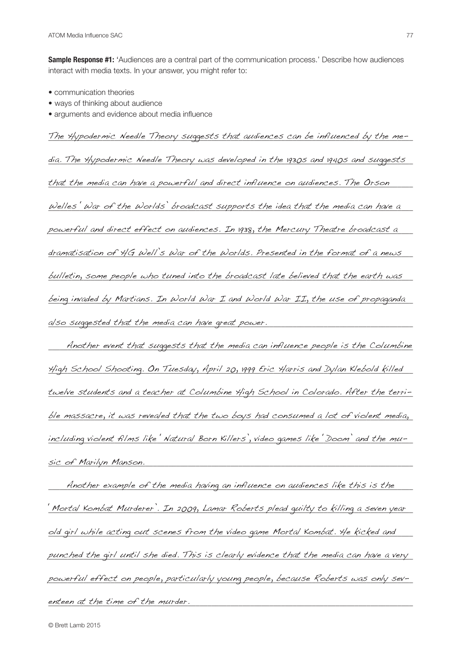**Sample Response #1:** 'Audiences are a central part of the communication process.' Describe how audiences interact with media texts. In your answer, you might refer to:

- communication theories
- ways of thinking about audience
- arguments and evidence about media influence

The Hypodermic Needle Theory suggests that audiences can be influenced by the me- $\,$ 

dia. The Hypodermic Needle Theory was developed in the 1930s and 1940s and suggests  $\_$ 

that the media can have a powerful and direct influence on audiences. The Orson  $\blacksquare$ 

 $\omega$ elles  $\dot{~}$  War of the Worlds' broadcast supports the idea that the media can have a  $\_$ 

powerful and direct effect on audiences. In 1938, the Mercury Theatre broadcast a

dramatisation of HG Well's War of the Worlds. Presented in the format of a news  $\blacksquare$ 

bulletin, some people who tuned into the broadcast late believed that the earth was  $\blacksquare$ 

being invaded by Martians. In World War I and World War II, the use of propaganda also suggested that the media can have great power. \_\_\_\_\_\_\_\_\_\_\_\_\_\_\_\_\_\_\_\_\_\_\_\_\_\_\_\_\_

 $\hskip1cm$  Another event that suggests that the media can influence people is the Columbine \_\_\_\_\_\_\_\_\_\_\_\_\_\_\_\_\_\_\_\_\_\_\_\_\_\_\_\_\_\_\_\_\_\_\_\_\_\_\_\_\_\_\_\_\_\_\_\_\_\_\_\_\_\_\_\_\_\_\_\_\_\_\_\_\_\_\_\_\_\_\_\_\_\_\_\_\_\_\_\_\_\_\_\_\_\_\_\_\_\_\_\_\_\_ High School Shooting. On Tuesday, April 20, 1999 Eric Harris and Dylan Klebold killed twelve students and a teacher at Columbine High School in Colorado. After the terrible massacre, it was revealed that the two boys had consumed a lot of violent media, including violent films like 'Natural Born Killers', video games like 'Doom' and the mu-\_\_\_\_\_\_\_\_\_\_\_\_\_\_\_\_\_\_\_\_\_\_\_\_\_\_\_\_\_\_\_\_\_\_\_\_\_\_\_\_\_\_\_\_\_\_\_\_\_\_\_\_\_\_\_\_\_\_\_\_\_\_\_\_\_\_\_\_\_\_\_\_\_\_\_\_\_\_\_\_\_\_\_\_\_\_\_\_\_\_\_\_\_\_ sic of Marilyn Manson.

 $\hskip1cm$  Another example of the media having an influence on audiences like this is the  $\hskip1cm$ <u>' Mortal Kombat Murderer'. In 2009, Lamar Roberts plead quilty to killing a seven year </u> old girl while acting out scenes from the video game Mortal Kombat. He kicked and punched the girl until she died. This is clearly evidence that the media can have a very powerful effect on people, particularly young people, because Roberts was only sev-\_\_\_\_\_\_\_\_\_\_\_\_\_\_\_\_\_\_\_\_\_\_\_\_\_\_\_\_\_\_\_\_\_\_\_\_\_\_\_\_\_\_\_\_\_\_\_\_\_\_\_\_\_\_\_\_\_\_\_\_\_\_\_\_\_\_\_\_\_\_\_\_\_\_\_\_\_\_\_\_\_\_\_\_\_\_\_\_\_\_\_\_\_\_ enteen at the time of the murder.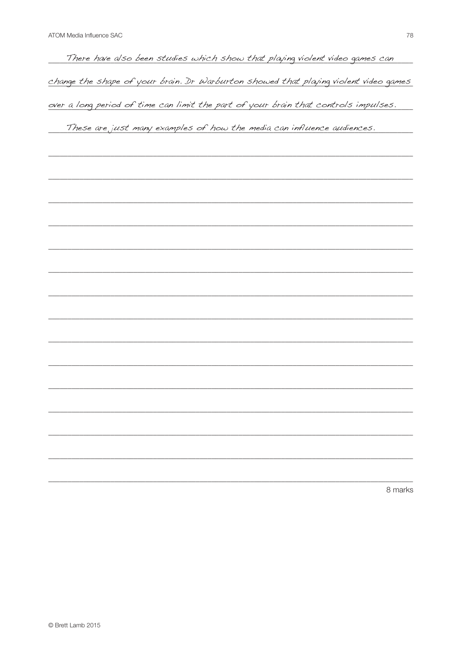There have also been studies which show that playing violent video games can change the shape of your brain. Dr Warburton showed that playing violent video games over a long period of time can limit the part of your brain that controls impulses.

These are just many examples of how the media can influence audiences.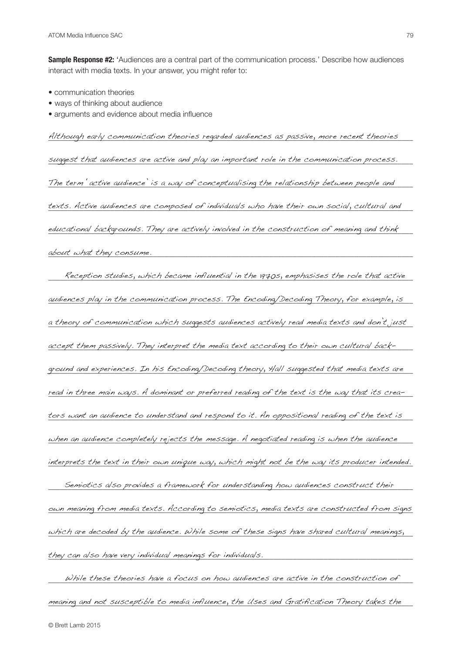**Sample Response #2:** 'Audiences are a central part of the communication process.' Describe how audiences interact with media texts. In your answer, you might refer to:

- communication theories
- ways of thinking about audience
- arguments and evidence about media influence

Although early communication theories regarded audiences as passive, more recent theories  $\blacksquare$ 

suggest that audiences are active and play an important role in the communication process.

The term 'active audience' is a way of conceptualising the relationship between people and  $\blacksquare$ 

texts. Active audiences are composed of individuals who have their own social, cultural and  $\equiv$ 

educational backgrounds. They are actively involved in the construction of meaning and think

 $a$ bout what they consume.  $\hfill\blacksquare$ 

 $\Gamma$  - Reception studies, which became influential in the 1970s, emphasises the role that active audiences play in the communication process. The Encoding/Decoding Theory, for example, is a theory of communication which suggests audiences actively read media texts and don't just accept them passively. They interpret the media text according to their own cultural back-  $\blacksquare$ ground and experiences. In his Encoding/Decoding theory, Hall suggested that media texts are read in three main ways. A dominant or preferred reading of the text is the way that its crea-  $\_$ tors want an audience to understand and respond to it. An oppositional reading of the text is  $\blacksquare$ when an audience completely rejects the message. A negotiated reading is when the audience  $\blacksquare$ interprets the text in their own unique way, which might not be the way its producer intended.

\_\_\_\_\_\_\_\_\_\_\_\_\_\_\_\_\_\_\_\_\_\_\_\_\_\_\_\_\_\_\_\_\_\_\_\_\_\_\_\_\_\_\_\_\_\_\_\_\_\_\_\_\_\_\_\_\_\_\_\_\_\_\_\_\_\_\_\_\_\_\_\_\_\_\_\_\_\_\_\_\_\_\_\_\_\_\_\_\_\_\_\_\_\_ Semiotics also provides a framework for understanding how audiences construct their own meaning from media texts. According to semiotics, media texts are constructed from signs which are decoded by the audience. While some of these signs have shared cultural meanings,  $\,$ they can also have very individual meanings for individuals.

 $\Box$  While these theories have a focus on how audiences are active in the construction of  $\Box$ meaning and not susceptible to media influence, the Uses and Gratification Theory takes the  $\blacksquare$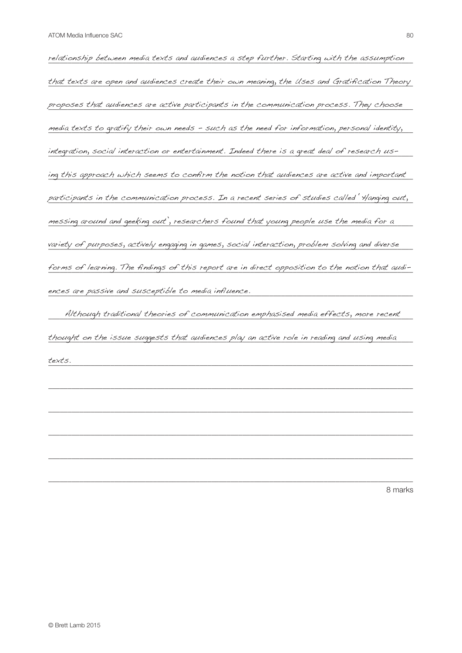relationship between media texts and audiences a step further. Starting with the assumption that texts are open and audiences create their own meaning, the Uses and Gratification Theory proposes that audiences are active participants in the communication process. They choose media texts to gratify their own needs - such as the need for information, personal identity, where  $\sim$ integration, social interaction or entertainment. Indeed there is a great deal of research using this approach which seems to confirm the notion that audiences are active and important participants in the communication process. In a recent series of studies called 'Hanging out, messing around and geeking out', researchers found that young people use the media for a  $\blacksquare$ variety of purposes, actively engaging in games, social interaction, problem solving and diverse forms of learning. The findings of this report are in direct opposition to the notion that audi-\_\_\_\_\_\_\_\_\_\_\_\_\_\_\_\_\_\_\_\_\_\_\_\_\_\_\_\_\_\_\_\_\_\_\_\_\_\_\_\_\_\_\_\_\_\_\_\_\_\_\_\_\_\_\_\_\_\_\_\_\_\_\_\_\_\_\_\_\_\_\_\_\_\_\_\_\_\_\_\_\_\_\_\_\_\_\_\_\_\_\_\_\_\_ ences are passive and susceptible to media influence.

\_\_\_\_\_\_\_\_\_\_\_\_\_\_\_\_\_\_\_\_\_\_\_\_\_\_\_\_\_\_\_\_\_\_\_\_\_\_\_\_\_\_\_\_\_\_\_\_\_\_\_\_\_\_\_\_\_\_\_\_\_\_\_\_\_\_\_\_\_\_\_\_\_\_\_\_\_\_\_\_\_\_\_\_\_\_\_\_\_\_\_\_\_\_ Although traditional theories of communication emphasised media effects, more recent thought on the issue suggests that audiences play an active role in reading and using media  $\blacksquare$  ${\it texts.}$ texts.

\_\_\_\_\_\_\_\_\_\_\_\_\_\_\_\_\_\_\_\_\_\_\_\_\_\_\_\_\_\_\_\_\_\_\_\_\_\_\_\_\_\_\_\_\_\_\_\_\_\_\_\_\_\_\_\_\_\_\_\_\_\_\_\_\_\_\_\_\_\_\_\_\_\_\_\_\_\_\_\_\_\_\_\_\_\_\_\_\_\_\_\_\_\_

\_\_\_\_\_\_\_\_\_\_\_\_\_\_\_\_\_\_\_\_\_\_\_\_\_\_\_\_\_\_\_\_\_\_\_\_\_\_\_\_\_\_\_\_\_\_\_\_\_\_\_\_\_\_\_\_\_\_\_\_\_\_\_\_\_\_\_\_\_\_\_\_\_\_\_\_\_\_\_\_\_\_\_\_\_\_\_\_\_\_\_\_\_\_

\_\_\_\_\_\_\_\_\_\_\_\_\_\_\_\_\_\_\_\_\_\_\_\_\_\_\_\_\_\_\_\_\_\_\_\_\_\_\_\_\_\_\_\_\_\_\_\_\_\_\_\_\_\_\_\_\_\_\_\_\_\_\_\_\_\_\_\_\_\_\_\_\_\_\_\_\_\_\_\_\_\_\_\_\_\_\_\_\_\_\_\_\_\_

\_\_\_\_\_\_\_\_\_\_\_\_\_\_\_\_\_\_\_\_\_\_\_\_\_\_\_\_\_\_\_\_\_\_\_\_\_\_\_\_\_\_\_\_\_\_\_\_\_\_\_\_\_\_\_\_\_\_\_\_\_\_\_\_\_\_\_\_\_\_\_\_\_\_\_\_\_\_\_\_\_\_\_\_\_\_\_\_\_\_\_\_\_\_

\_\_\_\_\_\_\_\_\_\_\_\_\_\_\_\_\_\_\_\_\_\_\_\_\_\_\_\_\_\_\_\_\_\_\_\_\_\_\_\_\_\_\_\_\_\_\_\_\_\_\_\_\_\_\_\_\_\_\_\_\_\_\_\_\_\_\_\_\_\_\_\_\_\_\_\_\_\_\_\_\_\_\_\_\_\_\_\_\_\_\_\_\_\_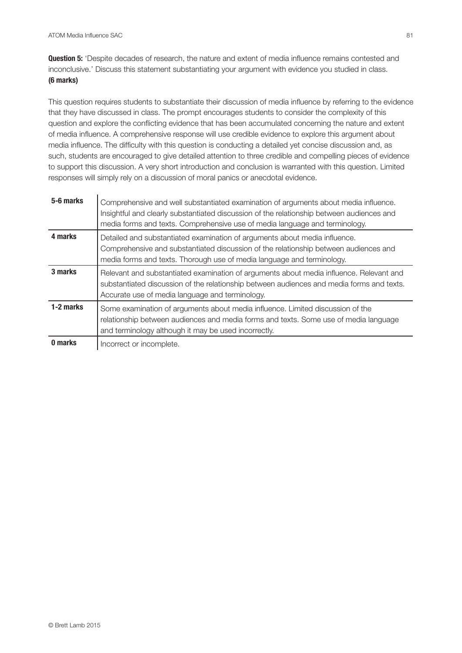**Question 5:** 'Despite decades of research, the nature and extent of media influence remains contested and inconclusive.' Discuss this statement substantiating your argument with evidence you studied in class. **(6 marks)**

This question requires students to substantiate their discussion of media influence by referring to the evidence that they have discussed in class. The prompt encourages students to consider the complexity of this question and explore the conflicting evidence that has been accumulated concerning the nature and extent of media influence. A comprehensive response will use credible evidence to explore this argument about media influence. The difficulty with this question is conducting a detailed yet concise discussion and, as such, students are encouraged to give detailed attention to three credible and compelling pieces of evidence to support this discussion. A very short introduction and conclusion is warranted with this question. Limited responses will simply rely on a discussion of moral panics or anecdotal evidence.

| 5-6 marks | Comprehensive and well substantiated examination of arguments about media influence.<br>Insightful and clearly substantiated discussion of the relationship between audiences and<br>media forms and texts. Comprehensive use of media language and terminology. |
|-----------|------------------------------------------------------------------------------------------------------------------------------------------------------------------------------------------------------------------------------------------------------------------|
| 4 marks   | Detailed and substantiated examination of arguments about media influence.<br>Comprehensive and substantiated discussion of the relationship between audiences and<br>media forms and texts. Thorough use of media language and terminology.                     |
| 3 marks   | Relevant and substantiated examination of arguments about media influence. Relevant and<br>substantiated discussion of the relationship between audiences and media forms and texts.<br>Accurate use of media language and terminology.                          |
| 1-2 marks | Some examination of arguments about media influence. Limited discussion of the<br>relationship between audiences and media forms and texts. Some use of media language<br>and terminology although it may be used incorrectly.                                   |
| 0 marks   | Incorrect or incomplete.                                                                                                                                                                                                                                         |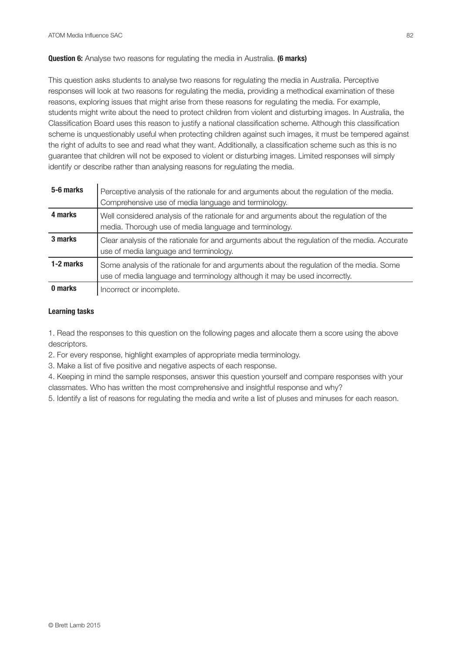## **Question 6:** Analyse two reasons for regulating the media in Australia. **(6 marks)**

This question asks students to analyse two reasons for regulating the media in Australia. Perceptive responses will look at two reasons for regulating the media, providing a methodical examination of these reasons, exploring issues that might arise from these reasons for regulating the media. For example, students might write about the need to protect children from violent and disturbing images. In Australia, the Classification Board uses this reason to justify a national classification scheme. Although this classification scheme is unquestionably useful when protecting children against such images, it must be tempered against the right of adults to see and read what they want. Additionally, a classification scheme such as this is no guarantee that children will not be exposed to violent or disturbing images. Limited responses will simply identify or describe rather than analysing reasons for regulating the media.

| 5-6 marks | Perceptive analysis of the rationale for and arguments about the regulation of the media.<br>Comprehensive use of media language and terminology.                      |
|-----------|------------------------------------------------------------------------------------------------------------------------------------------------------------------------|
| 4 marks   | Well considered analysis of the rationale for and arguments about the regulation of the<br>media. Thorough use of media language and terminology.                      |
| 3 marks   | Clear analysis of the rationale for and arguments about the regulation of the media. Accurate<br>use of media language and terminology.                                |
| 1-2 marks | Some analysis of the rationale for and arguments about the regulation of the media. Some<br>use of media language and terminology although it may be used incorrectly. |
| 0 marks   | Incorrect or incomplete.                                                                                                                                               |

#### **Learning tasks**

1. Read the responses to this question on the following pages and allocate them a score using the above descriptors.

2. For every response, highlight examples of appropriate media terminology.

3. Make a list of five positive and negative aspects of each response.

4. Keeping in mind the sample responses, answer this question yourself and compare responses with your classmates. Who has written the most comprehensive and insightful response and why?

5. Identify a list of reasons for regulating the media and write a list of pluses and minuses for each reason.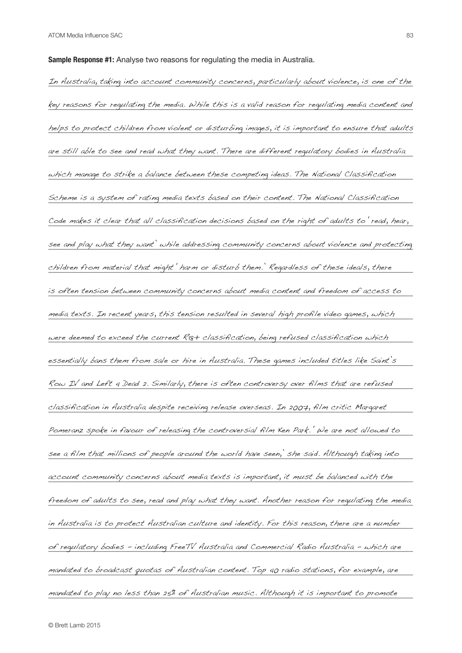**Sample Response #1:** Analyse two reasons for regulating the media in Australia.

In Australia, taking into account community concerns, particularly about violence, is one of the key reasons for regulating the media. While this is a valid reason for regulating media content and helps to protect children from violent or disturbing images, it is important to ensure that adults are still able to see and read what they want. There are different regulatory bodies in Australia which manage to strike a balance between these competing ideas. The National Classification  $\blacksquare$ Scheme is a system of rating media texts based on their content. The National Classification Code makes it clear that all classification decisions based on the right of adults to 'read, hear,  $\,$ see and play what they want' while addressing community concerns about violence and protecting  $chil$ dren from material that might  $^\prime$  harm or disturb them.' Regardless of these ideals, there  $^\prime$ is often tension between community concerns about media content and freedom of access to  $\blacksquare$ media texts. In recent years, this tension resulted in several high profile video games, which were deemed to exceed the current R18+ classification, being refused classification which  $\blacksquare$ essentially bans them from sale or hire in Australia. These games included titles like Saint's weed Row IV and Left 4 Dead 2. Similarly, there is often controversy over films that are refused  $\blacksquare$ classification in Australia despite receiving release overseas. In 2007, film critic Margaret Pomeranz spoke in favour of releasing the controversial film Ken Park.' We are not allowed to see a film that millions of people around the world have seen,' she said. Although taking into account community concerns about media texts is important, it must be balanced with the freedom of adults to see, read and play what they want. Another reason for regulating the media in Australia is to protect Australian culture and identity. For this reason, there are a number  $\blacksquare$ of regulatory bodies - including FreeTV Australia and Commercial Radio Australia - which are mandated to broadcast quotas of Australian content. Top 40 radio stations, for example, are mandated to play no less than 25% of Australian music. Although it is important to promote  $\blacksquare$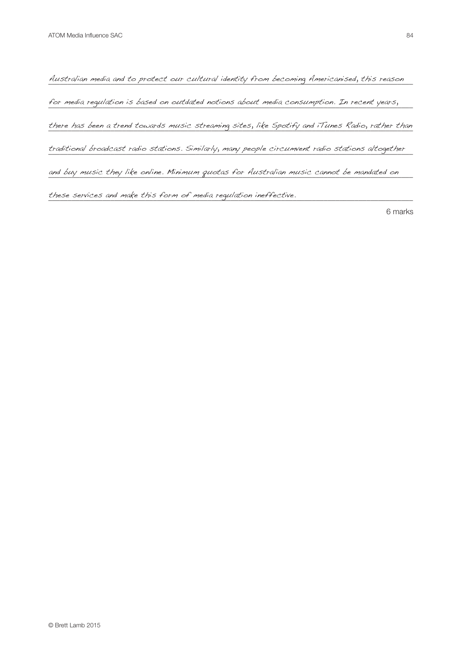Australian media and to protect our cultural identity from becoming Americanised, this reason for media regulation is based on outdated notions about media consumption. In recent years, where there has been a trend towards music streaming sites, like Spotify and iTunes Radio, rather than \_\_\_\_\_\_\_\_\_\_\_\_\_\_\_\_\_\_\_\_\_\_\_\_\_\_\_\_\_\_\_\_\_\_\_\_\_\_\_\_\_\_\_\_\_\_\_\_\_\_\_\_\_\_\_\_\_\_\_\_\_\_\_\_\_\_\_\_\_\_\_\_\_\_\_\_\_\_\_\_\_\_\_\_\_\_\_\_\_\_\_\_\_\_ traditional broadcast radio stations. Similarly, many people circumvent radio stations altogether and buy music they like online. Minimum quotas for Australian music cannot be mandated on these services and make this form of media regulation ineffective.<br>————————————————————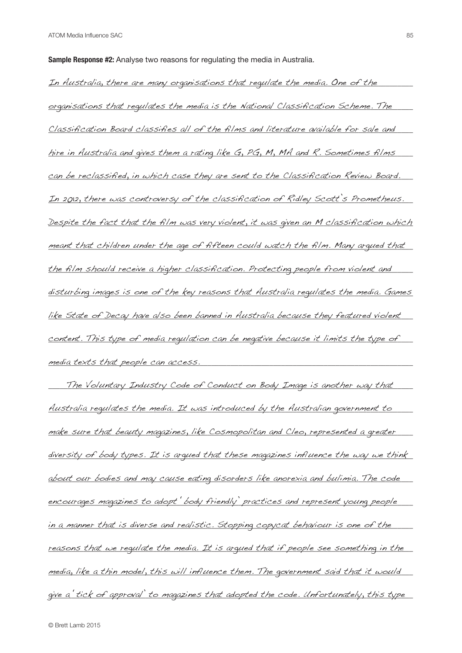**Sample Response #2:** Analyse two reasons for regulating the media in Australia.

In Australia, there are many organisations that regulate the media. One of the struck of the struck of the str <u>organisations that regulates the media is the National Classification Scheme. The cont</u> Classification Board classifies all of the films and literature available for sale and hire in Australia and gives them a rating like G, PG, M, MA and R. Sometimes films  $\blacksquare$ can be reclassified, in which case they are sent to the Classification Review Board.  $\qquad$ In 2012, there was controversy of the classification of Ridley Scott's Prometheus. <u>Despite the fact that the film was very violent, it was given an M classification which </u>  $\_$  meant that children under the age of fifteen could watch the film. Many arqued that the film should receive a higher classification. Protecting people from violent and <u>disturbing images is one of the key reasons that Australia regulates the media. Games </u> <u>like State of Decay have also been banned in Australia because they featured violent w</u> content. This type of media requlation can be negative because it limits the type of  $\blacksquare$ \_\_\_\_\_\_\_\_\_\_\_\_\_\_\_\_\_\_\_\_\_\_\_\_\_\_\_\_\_\_\_\_\_\_\_\_\_\_\_\_\_\_\_\_\_\_\_\_\_\_\_\_\_\_\_\_\_\_\_\_\_\_\_\_\_\_\_\_\_\_\_\_\_\_\_\_\_\_\_\_\_\_\_\_\_\_\_\_\_\_\_\_\_\_ media texts that people can access.

\_\_\_\_\_\_\_\_\_\_\_\_\_\_\_\_\_\_\_\_\_\_\_\_\_\_\_\_\_\_\_\_\_\_\_\_\_\_\_\_\_\_\_\_\_\_\_\_\_\_\_\_\_\_\_\_\_\_\_\_\_\_\_\_\_\_\_\_\_\_\_\_\_\_\_\_\_\_\_\_\_\_\_\_\_\_\_\_\_\_\_\_\_\_ The Voluntary Industry Code of Conduct on Body Image is another way that <u>Australia requlates the media. It was introduced by the Australian government to chas</u> make sure that beauty magazines, like Cosmopolitan and Cleo, represented a greater <u>diversity of body types. It is arqued that these magazines influence the way we think</u>  $a$ bout our bodies and may cause eating disorders like anorexia and bulimia. The code  $\blacksquare$ encourages magazines to adopt 'body friendly' practices and represent young people in a manner that is diverse and realistic. Stopping copycat behaviour is one of the strike the contract is so reasons that we requlate the media. It is arqued that if people see something in the  $\rho$ edia, like a thin model, this will influence them. The government said that it would give a tick of approval' to magazines that adopted the code. Unfortunately, this type  $\blacksquare$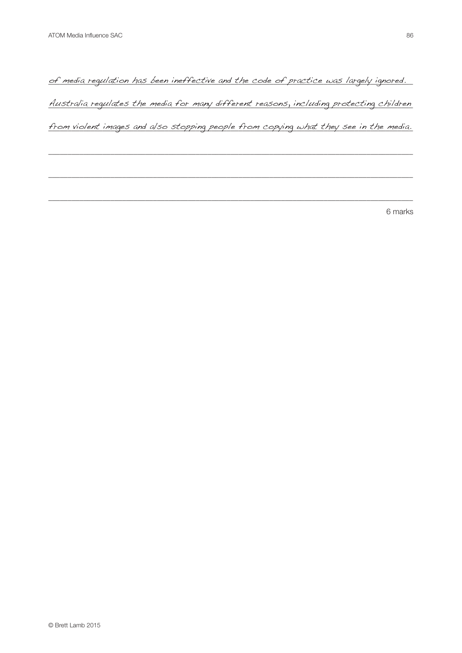of media regulation has been ineffective and the code of practice was largely ignored. Australia requlates the media for many different reasons, including protecting children

from violent images and also stopping people from copying what they see in the media.

\_\_\_\_\_\_\_\_\_\_\_\_\_\_\_\_\_\_\_\_\_\_\_\_\_\_\_\_\_\_\_\_\_\_\_\_\_\_\_\_\_\_\_\_\_\_\_\_\_\_\_\_\_\_\_\_\_\_\_\_\_\_\_\_\_\_\_\_\_\_\_\_\_\_\_\_\_\_\_\_\_\_\_\_\_\_\_\_\_\_\_\_\_\_

\_\_\_\_\_\_\_\_\_\_\_\_\_\_\_\_\_\_\_\_\_\_\_\_\_\_\_\_\_\_\_\_\_\_\_\_\_\_\_\_\_\_\_\_\_\_\_\_\_\_\_\_\_\_\_\_\_\_\_\_\_\_\_\_\_\_\_\_\_\_\_\_\_\_\_\_\_\_\_\_\_\_\_\_\_\_\_\_\_\_\_\_\_\_

\_\_\_\_\_\_\_\_\_\_\_\_\_\_\_\_\_\_\_\_\_\_\_\_\_\_\_\_\_\_\_\_\_\_\_\_\_\_\_\_\_\_\_\_\_\_\_\_\_\_\_\_\_\_\_\_\_\_\_\_\_\_\_\_\_\_\_\_\_\_\_\_\_\_\_\_\_\_\_\_\_\_\_\_\_\_\_\_\_\_\_\_\_\_